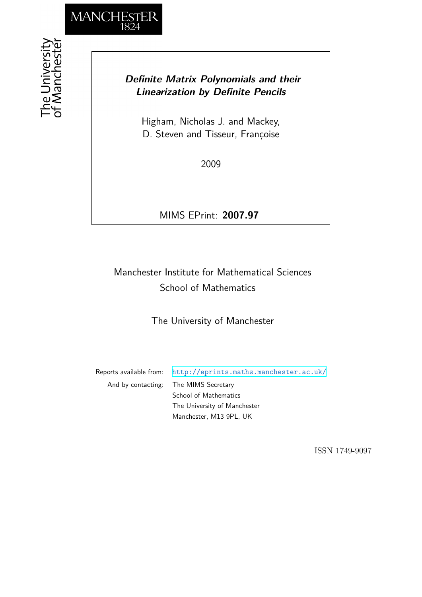

## *Definite Matrix Polynomials and their Linearization by Definite Pencils*

Higham, Nicholas J. and Mackey, D. Steven and Tisseur, Françoise

2009

MIMS EPrint: **2007.97**

# Manchester Institute for Mathematical Sciences School of Mathematics

The University of Manchester

Reports available from: <http://eprints.maths.manchester.ac.uk/> And by contacting: The MIMS Secretary School of Mathematics The University of Manchester

Manchester, M13 9PL, UK

ISSN 1749-9097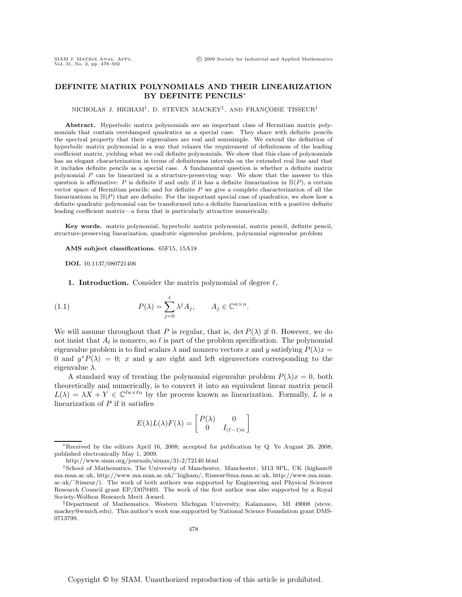### **DEFINITE MATRIX POLYNOMIALS AND THEIR LINEARIZATION BY DEFINITE PENCILS**<sup>∗</sup>

#### NICHOLAS J. HIGHAM<sup>†</sup>, D. STEVEN MACKEY<sup>‡</sup>, AND FRANÇOISE TISSEUR<sup>†</sup>

**Abstract.** Hyperbolic matrix polynomials are an important class of Hermitian matrix polynomials that contain overdamped quadratics as a special case. They share with definite pencils the spectral property that their eigenvalues are real and semisimple. We extend the definition of hyperbolic matrix polynomial in a way that relaxes the requirement of definiteness of the leading coefficient matrix, yielding what we call definite polynomials. We show that this class of polynomials has an elegant characterization in terms of definiteness intervals on the extended real line and that it includes definite pencils as a special case. A fundamental question is whether a definite matrix polynomial  $P$  can be linearized in a structure-preserving way. We show that the answer to this question is affirmative: P is definite if and only if it has a definite linearization in  $\mathbb{H}(P)$ , a certain vector space of Hermitian pencils; and for definite  $P$  we give a complete characterization of all the linearizations in  $\mathbb{H}(P)$  that are definite. For the important special case of quadratics, we show how a definite quadratic polynomial can be transformed into a definite linearization with a positive definite leading coefficient matrix—a form that is particularly attractive numerically.

**Key words.** matrix polynomial, hyperbolic matrix polynomial, matrix pencil, definite pencil, structure-preserving linearization, quadratic eigenvalue problem, polynomial eigenvalue problem

**AMS subject classifications.** 65F15, 15A18

**DOI.** 10.1137/080721406

**1. Introduction.** Consider the matrix polynomial of degree  $\ell$ ,

(1.1) 
$$
P(\lambda) = \sum_{j=0}^{\ell} \lambda^{j} A_{j}, \qquad A_{j} \in \mathbb{C}^{n \times n}.
$$

We will assume throughout that P is regular, that is, det  $P(\lambda) \neq 0$ . However, we do not insist that  $A_{\ell}$  is nonzero, so  $\ell$  is part of the problem specification. The polynomial eigenvalue problem is to find scalars  $\lambda$  and nonzero vectors x and y satisfying  $P(\lambda)x =$ 0 and  $y^*P(\lambda) = 0$ ; x and y are right and left eigenvectors corresponding to the eigenvalue  $\lambda$ .

A standard way of treating the polynomial eigenvalue problem  $P(\lambda)x = 0$ , both theoretically and numerically, is to convert it into an equivalent linear matrix pencil  $L(\lambda) = \lambda X + Y \in \mathbb{C}^{\ell n \times \ell n}$  by the process known as linearization. Formally, L is a linearization of  $P$  if it satisfies

$$
E(\lambda)L(\lambda)F(\lambda) = \begin{bmatrix} P(\lambda) & 0 \\ 0 & I_{(\ell-1)n} \end{bmatrix}
$$

<sup>∗</sup>Received by the editors April 16, 2008; accepted for publication by Q. Ye August 26, 2008; published electronically May 1, 2009.

http://www.siam.org/journals/simax/31-2/72140.html

<sup>†</sup>School of Mathematics, The University of Manchester, Manchester, M13 9PL, UK (higham@ ma.man.ac.uk, http://www.ma.man.ac.uk/˜higham/, ftisseur@ma.man.ac.uk, http://www.ma.man. ac.uk/˜ftisseur/). The work of both authors was supported by Engineering and Physical Sciences Research Council grant EP/D079403. The work of the first author was also supported by a Royal Society-Wolfson Research Merit Award.

<sup>‡</sup>Department of Mathematics, Western Michigan University, Kalamazoo, MI 49008 (steve. mackey@wmich.edu). This author's work was supported by National Science Foundation grant DMS-0713799.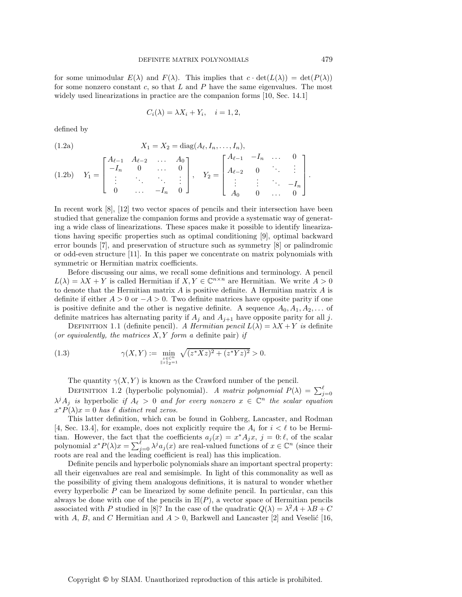for some unimodular  $E(\lambda)$  and  $F(\lambda)$ . This implies that  $c \cdot det(L(\lambda)) = det(P(\lambda))$ for some nonzero constant  $c$ , so that  $L$  and  $P$  have the same eigenvalues. The most widely used linearizations in practice are the companion forms [10, Sec. 14.1]

$$
C_i(\lambda) = \lambda X_i + Y_i, \quad i = 1, 2,
$$

defined by

(1.2a) 
$$
X_1 = X_2 = \text{diag}(A_\ell, I_n, \dots, I_n),
$$

$$
(1.2b) \quad Y_1 = \begin{bmatrix} A_{\ell-1} & A_{\ell-2} & \cdots & A_0 \\ -I_n & 0 & \cdots & 0 \\ \vdots & \ddots & \ddots & \vdots \\ 0 & \cdots & -I_n & 0 \end{bmatrix}, \quad Y_2 = \begin{bmatrix} A_{\ell-1} & -I_n & \cdots & 0 \\ A_{\ell-2} & 0 & \ddots & \vdots \\ \vdots & \vdots & \ddots & -I_n \\ A_0 & 0 & \cdots & 0 \end{bmatrix}.
$$

In recent work [8], [12] two vector spaces of pencils and their intersection have been studied that generalize the companion forms and provide a systematic way of generating a wide class of linearizations. These spaces make it possible to identify linearizations having specific properties such as optimal conditioning [9], optimal backward error bounds [7], and preservation of structure such as symmetry [8] or palindromic or odd-even structure [11]. In this paper we concentrate on matrix polynomials with symmetric or Hermitian matrix coefficients.

Before discussing our aims, we recall some definitions and terminology. A pencil  $L(\lambda) = \lambda X + Y$  is called Hermitian if  $X, Y \in \mathbb{C}^{n \times n}$  are Hermitian. We write  $A > 0$ to denote that the Hermitian matrix  $A$  is positive definite. A Hermitian matrix  $A$  is definite if either  $A > 0$  or  $-A > 0$ . Two definite matrices have opposite parity if one is positive definite and the other is negative definite. A sequence  $A_0, A_1, A_2, \ldots$  of definite matrices has alternating parity if  $A_j$  and  $A_{j+1}$  have opposite parity for all j.

DEFINITION 1.1 (definite pencil). A Hermitian pencil  $L(\lambda) = \lambda X + Y$  is definite (*or equivalently, the matrices* X, Y *form a* definite pair) *if*

(1.3) 
$$
\gamma(X,Y) := \min_{\substack{z \in \mathbb{C}^n \\ \|z\|_2 = 1}} \sqrt{(z^*Xz)^2 + (z^*Yz)^2} > 0.
$$

The quantity  $\gamma(X, Y)$  is known as the Crawford number of the pencil.

DEFINITION 1.2 (hyperbolic polynomial). *A matrix polynomial*  $P(\lambda) = \sum_{j=0}^{\ell}$  $\lambda^{j} A_{j}$  is hyperbolic *if*  $A_{\ell} > 0$  *and for every nonzero*  $x \in \mathbb{C}^{n}$  *the scalar equation*  $x^*P(\lambda)x = 0$  has  $\ell$  distinct real zeros.

This latter definition, which can be found in Gohberg, Lancaster, and Rodman [4, Sec. 13.4], for example, does not explicitly require the  $A_i$  for  $i < \ell$  to be Hermitian. However, the fact that the coefficients  $a_j(x) = x^* A_j x$ ,  $j = 0:\ell$ , of the scalar polynomial  $x^*P(\lambda)x = \sum_{j=0}^{\ell} \lambda^j a_j(x)$  are real-valued functions of  $x \in \mathbb{C}^n$  (since their roots are real and the leading coefficient is real) has this implication.

Definite pencils and hyperbolic polynomials share an important spectral property: all their eigenvalues are real and semisimple. In light of this commonality as well as the possibility of giving them analogous definitions, it is natural to wonder whether every hyperbolic P can be linearized by some definite pencil. In particular, can this always be done with one of the pencils in  $\mathbb{H}(P)$ , a vector space of Hermitian pencils associated with P studied in [8]? In the case of the quadratic  $Q(\lambda) = \lambda^2 A + \lambda B + C$ with A, B, and C Hermitian and  $A > 0$ , Barkwell and Lancaster [2] and Veselić [16,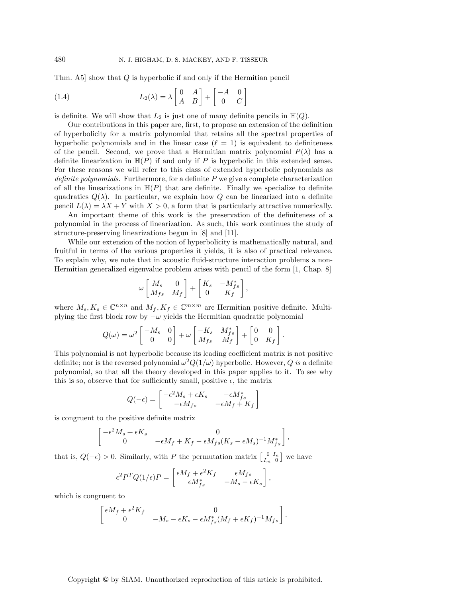Thm. A5] show that Q is hyperbolic if and only if the Hermitian pencil

(1.4) 
$$
L_2(\lambda) = \lambda \begin{bmatrix} 0 & A \\ A & B \end{bmatrix} + \begin{bmatrix} -A & 0 \\ 0 & C \end{bmatrix}
$$

is definite. We will show that  $L_2$  is just one of many definite pencils in  $\mathbb{H}(Q)$ .

Our contributions in this paper are, first, to propose an extension of the definition of hyperbolicity for a matrix polynomial that retains all the spectral properties of hyperbolic polynomials and in the linear case  $(\ell = 1)$  is equivalent to definiteness of the pencil. Second, we prove that a Hermitian matrix polynomial  $P(\lambda)$  has a definite linearization in  $\mathbb{H}(P)$  if and only if P is hyperbolic in this extended sense. For these reasons we will refer to this class of extended hyperbolic polynomials as *definite polynomials*. Furthermore, for a definite P we give a complete characterization of all the linearizations in  $\mathbb{H}(P)$  that are definite. Finally we specialize to definite quadratics  $Q(\lambda)$ . In particular, we explain how Q can be linearized into a definite pencil  $L(\lambda) = \lambda X + Y$  with  $X > 0$ , a form that is particularly attractive numerically.

An important theme of this work is the preservation of the definiteness of a polynomial in the process of linearization. As such, this work continues the study of structure-preserving linearizations begun in [8] and [11].

While our extension of the notion of hyperbolicity is mathematically natural, and fruitful in terms of the various properties it yields, it is also of practical relevance. To explain why, we note that in acoustic fluid-structure interaction problems a non-Hermitian generalized eigenvalue problem arises with pencil of the form [1, Chap. 8]

$$
\omega \left[ \begin{array}{cc} M_s & 0 \\ M_{fs} & M_f \end{array} \right] + \left[ \begin{array}{cc} K_s & -M_{fs}^* \\ 0 & K_f \end{array} \right],
$$

where  $M_s, K_s \in \mathbb{C}^{n \times n}$  and  $M_f, K_f \in \mathbb{C}^{m \times m}$  are Hermitian positive definite. Multiplying the first block row by  $-\omega$  yields the Hermitian quadratic polynomial

$$
Q(\omega) = \omega^2 \begin{bmatrix} -M_s & 0 \\ 0 & 0 \end{bmatrix} + \omega \begin{bmatrix} -K_s & M_{fs}^* \\ M_{fs} & M_f \end{bmatrix} + \begin{bmatrix} 0 & 0 \\ 0 & K_f \end{bmatrix}.
$$

This polynomial is not hyperbolic because its leading coefficient matrix is not positive definite; nor is the reversed polynomial  $\omega^2 Q(1/\omega)$  hyperbolic. However, Q is a definite polynomial, so that all the theory developed in this paper applies to it. To see why this is so, observe that for sufficiently small, positive  $\epsilon$ , the matrix

$$
Q(-\epsilon) = \begin{bmatrix} -\epsilon^2 M_s + \epsilon K_s & -\epsilon M_{fs}^* \\ -\epsilon M_{fs} & -\epsilon M_f + K_f \end{bmatrix}
$$

is congruent to the positive definite matrix

$$
\begin{bmatrix} -\epsilon^2 M_s + \epsilon K_s & 0\\ 0 & -\epsilon M_f + K_f - \epsilon M_{fs} (K_s - \epsilon M_s)^{-1} M_{fs}^* \end{bmatrix},
$$

that is,  $Q(-\epsilon) > 0$ . Similarly, with P the permutation matrix  $\begin{bmatrix} 0 & I_n \\ I_m & 0 \end{bmatrix}$  we have

$$
\epsilon^2 P^T Q(1/\epsilon) P = \begin{bmatrix} \epsilon M_f + \epsilon^2 K_f & \epsilon M_{fs} \\ \epsilon M_{fs}^* & -M_s - \epsilon K_s \end{bmatrix},
$$

which is congruent to

$$
\begin{bmatrix} \epsilon M_f + \epsilon^2 K_f & 0\\ 0 & -M_s - \epsilon K_s - \epsilon M_{fs}^*(M_f + \epsilon K_f)^{-1} M_{fs} \end{bmatrix}.
$$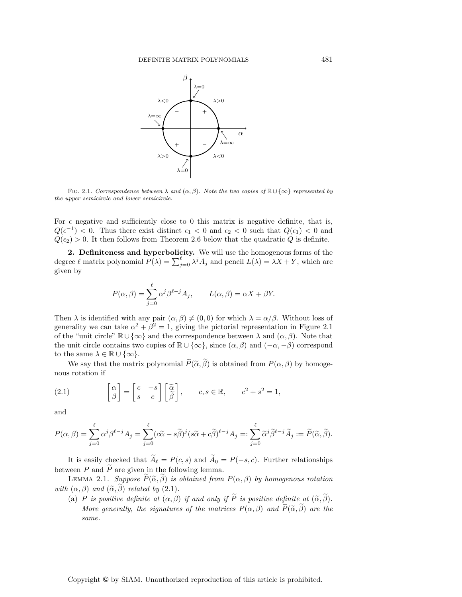

FIG. 2.1. *Correspondence between*  $\lambda$  *and*  $(\alpha, \beta)$ *. Note the two copies of*  $\mathbb{R} \cup {\infty}$  *represented by the upper semicircle and lower semicircle.*

For  $\epsilon$  negative and sufficiently close to 0 this matrix is negative definite, that is,  $Q(\epsilon^{-1})$  < 0. Thus there exist distinct  $\epsilon_1$  < 0 and  $\epsilon_2$  < 0 such that  $Q(\epsilon_1)$  < 0 and  $Q(\epsilon_2) > 0$ . It then follows from Theorem 2.6 below that the quadratic Q is definite.

2. Definiteness and hyperbolicity. We will use the homogenous forms of the degree  $\ell$  matrix polynomial  $P(\lambda) = \sum_{j=0}^{\ell} \lambda^{j} A_j$  and pencil  $L(\lambda) = \lambda X + Y$ , which are given by

$$
P(\alpha, \beta) = \sum_{j=0}^{\ell} \alpha^j \beta^{\ell-j} A_j, \qquad L(\alpha, \beta) = \alpha X + \beta Y.
$$

Then  $\lambda$  is identified with any pair  $(\alpha, \beta) \neq (0, 0)$  for which  $\lambda = \alpha/\beta$ . Without loss of generality we can take  $\alpha^2 + \beta^2 = 1$ , giving the pictorial representation in Figure 2.1 of the "unit circle"  $\mathbb{R} \cup {\infty}$  and the correspondence between  $\lambda$  and  $(\alpha, \beta)$ . Note that the unit circle contains two copies of  $\mathbb{R} \cup {\infty}$ , since  $(\alpha, \beta)$  and  $(-\alpha, -\beta)$  correspond to the same  $\lambda \in \mathbb{R} \cup \{\infty\}.$ 

We say that the matrix polynomial  $\widetilde{P}(\widetilde{\alpha}, \widetilde{\beta})$  is obtained from  $P(\alpha, \beta)$  by homogenous rotation if

(2.1) 
$$
\begin{bmatrix} \alpha \\ \beta \end{bmatrix} = \begin{bmatrix} c & -s \\ s & c \end{bmatrix} \begin{bmatrix} \widetilde{\alpha} \\ \widetilde{\beta} \end{bmatrix}, \quad c, s \in \mathbb{R}, \quad c^2 + s^2 = 1,
$$

and

$$
P(\alpha,\beta) = \sum_{j=0}^{\ell} \alpha^j \beta^{\ell-j} A_j = \sum_{j=0}^{\ell} (c\widetilde{\alpha} - s\widetilde{\beta})^j (s\widetilde{\alpha} + c\widetilde{\beta})^{\ell-j} A_j =: \sum_{j=0}^{\ell} \widetilde{\alpha}^j \widetilde{\beta}^{\ell-j} \widetilde{A}_j := \widetilde{P}(\widetilde{\alpha}, \widetilde{\beta}).
$$

It is easily checked that  $A_{\ell} = P(c, s)$  and  $A_0 = P(-s, c)$ . Further relationships between P and  $\widetilde{P}$  are given in the following lemma.

LEMMA 2.1. *Suppose*  $\widetilde{P}(\widetilde{\alpha}, \widetilde{\beta})$  *is obtained from*  $P(\alpha, \beta)$  *by homogenous rotation with*  $(\alpha, \beta)$  *and*  $(\widetilde{\alpha}, \widetilde{\beta})$  *related by* (2.1)*.* 

(a) P is positive definite at  $(\alpha, \beta)$  if and only if P is positive definite at  $(\tilde{\alpha}, \tilde{\beta})$ . *More generally, the signatures of the matrices*  $P(\alpha, \beta)$  *and*  $\widetilde{P}(\widetilde{\alpha}, \widetilde{\beta})$  *are the same.*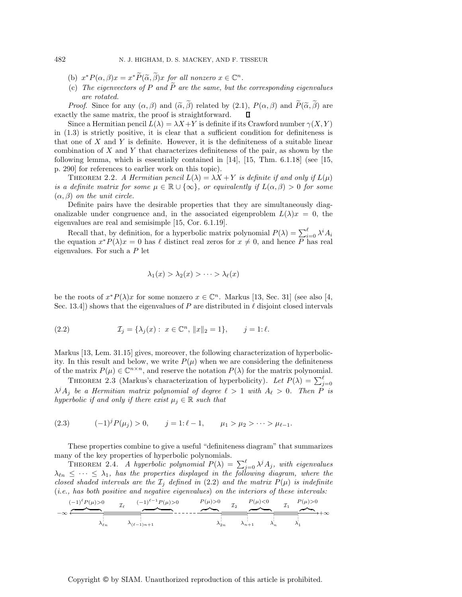- (b)  $x^*P(\alpha, \beta)x = x^*\widetilde{P}(\widetilde{\alpha}, \widetilde{\beta})x$  *for all nonzero*  $x \in \mathbb{C}^n$ *.*
- (c) The eigenvectors of P and  $\tilde{P}$  are the same, but the corresponding eigenvalues *are rotated.*

*Proof.* Since for any  $(\alpha, \beta)$  and  $(\tilde{\alpha}, \tilde{\beta})$  related by (2.1),  $P(\alpha, \beta)$  and  $\tilde{P}(\tilde{\alpha}, \tilde{\beta})$  are the same matrix, the proof is straightforward.  $\Box$ exactly the same matrix, the proof is straightforward.

Since a Hermitian pencil  $L(\lambda) = \lambda X + Y$  is definite if its Crawford number  $\gamma(X, Y)$ in (1.3) is strictly positive, it is clear that a sufficient condition for definiteness is that one of  $X$  and  $Y$  is definite. However, it is the definiteness of a suitable linear combination of  $X$  and  $Y$  that characterizes definiteness of the pair, as shown by the following lemma, which is essentially contained in [14], [15, Thm. 6.1.18] (see [15, p. 290] for references to earlier work on this topic).

THEOREM 2.2. *A Hermitian pencil*  $L(\lambda) = \lambda X + Y$  *is definite if and only if*  $L(\mu)$ *is a definite matrix for some*  $\mu \in \mathbb{R} \cup \{\infty\}$ , or equivalently if  $L(\alpha, \beta) > 0$  for some  $(\alpha, \beta)$  *on the unit circle.* 

Definite pairs have the desirable properties that they are simultaneously diagonalizable under congruence and, in the associated eigenproblem  $L(\lambda)x = 0$ , the eigenvalues are real and semisimple [15, Cor. 6.1.19].

Recall that, by definition, for a hyperbolic matrix polynomial  $P(\lambda) = \sum_{i=0}^{\ell} \lambda^i A_i$ the equation  $x^*P(\lambda)x = 0$  has  $\ell$  distinct real zeros for  $x \neq 0$ , and hence P has real eigenvalues. For such a P let

$$
\lambda_1(x) > \lambda_2(x) > \cdots > \lambda_\ell(x)
$$

be the roots of  $x^*P(\lambda)x$  for some nonzero  $x \in \mathbb{C}^n$ . Markus [13, Sec. 31] (see also [4, Sec. 13.4]) shows that the eigenvalues of P are distributed in  $\ell$  disjoint closed intervals

(2.2) 
$$
\mathcal{I}_j = \{\lambda_j(x): x \in \mathbb{C}^n, ||x||_2 = 1\}, \quad j = 1:\ell.
$$

Markus [13, Lem. 31.15] gives, moreover, the following characterization of hyperbolicity. In this result and below, we write  $P(\mu)$  when we are considering the definiteness of the matrix  $P(\mu) \in \mathbb{C}^{n \times n}$ , and reserve the notation  $P(\lambda)$  for the matrix polynomial.

THEOREM 2.3 (Markus's characterization of hyperbolicity). Let  $P(\lambda) = \sum_{j=0}^{\ell}$  $\lambda^{j}A_{j}$  be a Hermitian matrix polynomial of degree  $\ell > 1$  with  $A_{\ell} > 0$ . Then P is *hyperbolic if and only if there exist*  $\mu_j \in \mathbb{R}$  *such that* 

(2.3) 
$$
(-1)^{j} P(\mu_{j}) > 0, \qquad j = 1: \ell - 1, \qquad \mu_{1} > \mu_{2} > \cdots > \mu_{\ell - 1}.
$$

These properties combine to give a useful "definiteness diagram" that summarizes many of the key properties of hyperbolic polynomials.

THEOREM 2.4. *A hyperbolic polynomial*  $P(\lambda) = \sum_{j=0}^{\ell} \lambda^{j} A_{j}$ , with eigenvalues  $\lambda_{\ell n} \leq \cdots \leq \lambda_1$ , has the properties displayed in the following diagram, where the *closed shaded intervals are the*  $I_i$  *defined in* (2.2) *and the matrix*  $P(\mu)$  *is indefinite* (*i.e., has both positive and negative eigenvalues*) *on the interiors of these intervals:*

−∞ +∞ I- I2 I1 λ<sup>n</sup> λ(-<sup>−</sup>1)n+1 λ2<sup>n</sup> λn+1 λ<sup>n</sup> λ<sup>1</sup> <sup>P</sup> (μ)><sup>0</sup> <sup>P</sup> (μ)<<sup>0</sup> <sup>P</sup> (μ)><sup>0</sup> (−1)-<sup>−</sup>1P (μ)>0 (−1)-P (μ)>0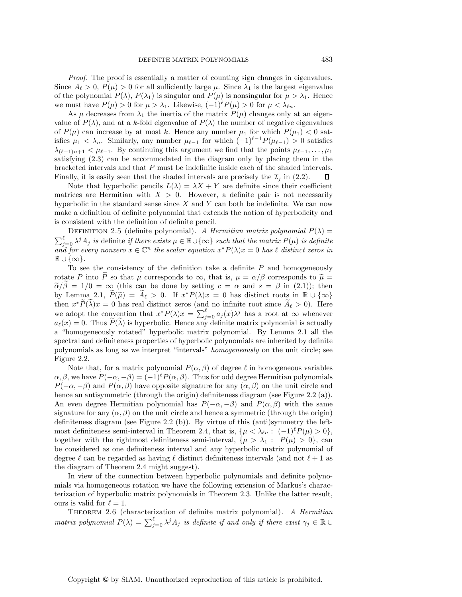*Proof.* The proof is essentially a matter of counting sign changes in eigenvalues. Since  $A_{\ell} > 0$ ,  $P(\mu) > 0$  for all sufficiently large  $\mu$ . Since  $\lambda_1$  is the largest eigenvalue of the polynomial  $P(\lambda)$ ,  $P(\lambda_1)$  is singular and  $P(\mu)$  is nonsingular for  $\mu > \lambda_1$ . Hence we must have  $P(\mu) > 0$  for  $\mu > \lambda_1$ . Likewise,  $(-1)^{\ell} P(\mu) > 0$  for  $\mu < \lambda_{\ell n}$ .

As  $\mu$  decreases from  $\lambda_1$  the inertia of the matrix  $P(\mu)$  changes only at an eigenvalue of  $P(\lambda)$ , and at a k-fold eigenvalue of  $P(\lambda)$  the number of negative eigenvalues of  $P(\mu)$  can increase by at most k. Hence any number  $\mu_1$  for which  $P(\mu_1) < 0$  satisfies  $\mu_1 < \lambda_n$ . Similarly, any number  $\mu_{\ell-1}$  for which  $(-1)^{\ell-1}P(\mu_{\ell-1}) > 0$  satisfies  $\lambda_{(\ell-1)n+1} < \mu_{\ell-1}$ . By continuing this argument we find that the points  $\mu_{\ell-1}, \ldots, \mu_1$ satisfying (2.3) can be accommodated in the diagram only by placing them in the bracketed intervals and that P must be indefinite inside each of the shaded intervals. Finally, it is easily seen that the shaded intervals are precisely the  $\mathcal{I}_j$  in (2.2). П

Note that hyperbolic pencils  $L(\lambda) = \lambda X + Y$  are definite since their coefficient matrices are Hermitian with  $X > 0$ . However, a definite pair is not necessarily hyperbolic in the standard sense since  $X$  and  $Y$  can both be indefinite. We can now make a definition of definite polynomial that extends the notion of hyperbolicity and is consistent with the definition of definite pencil.

DEFINITION 2.5 (definite polynomial). *A Hermitian matrix polynomial*  $P(\lambda)$  =  $\sum_{j=0}^{\ell} \lambda^{j} A_{j}$  *is* definite *if there exists*  $\mu \in \mathbb{R} \cup \{\infty\}$  *such that the matrix*  $P(\mu)$  *is definite*  $\overline{adj}$  *and for every nonzero*  $x \in \mathbb{C}^n$  the scalar equation  $x^*P(\lambda)x = 0$  has  $\ell$  distinct zeros in R ∪ {∞}*.*

To see the consistency of the definition take a definite  $P$  and homogeneously rotate P into  $\tilde{P}$  so that  $\mu$  corresponds to  $\infty$ , that is,  $\mu = \alpha/\beta$  corresponds to  $\tilde{\mu} =$  $\tilde{\alpha}/\tilde{\beta} = 1/0 = \infty$  (this can be done by setting  $c = \alpha$  and  $s = \beta$  in (2.1)); then by Lemma 2.1,  $\widetilde{P}(\widetilde{\mu}) = \widetilde{A}_{\ell} > 0$ . If  $x^*P(\lambda)x = 0$  has distinct roots in  $\mathbb{R} \cup \{\infty\}$ then  $x^*P(\lambda)x = 0$  has real distinct zeros (and no infinite root since  $A_{\ell} > 0$ ). Here we adopt the convention that  $x^*P(\lambda)x = \sum_{j=0}^{\ell} a_j(x)\lambda^j$  has a root at  $\infty$  whenever  $a_{\ell}(x) = 0$ . Thus  $P(\lambda)$  is hyperbolic. Hence any definite matrix polynomial is actually a "homogeneously rotated" hyperbolic matrix polynomial. By Lemma 2.1 all the spectral and definiteness properties of hyperbolic polynomials are inherited by definite polynomials as long as we interpret "intervals" *homogeneously* on the unit circle; see Figure 2.2.

Note that, for a matrix polynomial  $P(\alpha, \beta)$  of degree  $\ell$  in homogeneous variables  $\alpha, \beta$ , we have  $P(-\alpha, -\beta) = (-1)^{\ell} P(\alpha, \beta)$ . Thus for odd degree Hermitian polynomials  $P(-\alpha, -\beta)$  and  $P(\alpha, \beta)$  have opposite signature for any  $(\alpha, \beta)$  on the unit circle and hence an antisymmetric (through the origin) definiteness diagram (see Figure 2.2 (a)). An even degree Hermitian polynomial has  $P(-\alpha, -\beta)$  and  $P(\alpha, \beta)$  with the same signature for any  $(\alpha, \beta)$  on the unit circle and hence a symmetric (through the origin) definiteness diagram (see Figure 2.2 (b)). By virtue of this (anti)symmetry the leftmost definiteness semi-interval in Theorem 2.4, that is,  $\{\mu < \lambda_{\ell n} : (-1)^{\ell} P(\mu) > 0\},\$ together with the rightmost definiteness semi-interval,  $\{\mu > \lambda_1 : P(\mu) > 0\}$ , can be considered as one definiteness interval and any hyperbolic matrix polynomial of degree  $\ell$  can be regarded as having  $\ell$  distinct definiteness intervals (and not  $\ell + 1$  as the diagram of Theorem 2.4 might suggest).

In view of the connection between hyperbolic polynomials and definite polynomials via homogeneous rotation we have the following extension of Markus's characterization of hyperbolic matrix polynomials in Theorem 2.3. Unlike the latter result, ours is valid for  $\ell = 1$ .

Theorem 2.6 (characterization of definite matrix polynomial). *A Hermitian matrix polynomial*  $P(\lambda) = \sum_{j=0}^{\ell} \lambda^{j} A_j$  *is definite if and only if there exist*  $\gamma_j \in \mathbb{R} \cup$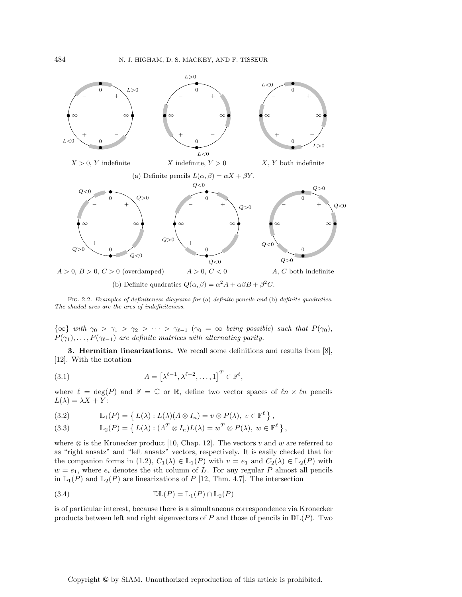

Fig. 2.2. *Examples of definiteness diagrams for* (a) *definite pencils and* (b) *definite quadratics. The shaded arcs are the arcs of indefiniteness.*

 ${\infty}$  *with*  $\gamma_0 > \gamma_1 > \gamma_2 > \cdots > \gamma_{\ell-1}$  ( $\gamma_0 = \infty$  *being possible) such that*  $P(\gamma_0)$ ,  $P(\gamma_1), \ldots, P(\gamma_{\ell-1})$  are definite matrices with alternating parity.

**3. Hermitian linearizations.** We recall some definitions and results from [8], [12]. With the notation

(3.1) 
$$
\Lambda = \left[\lambda^{\ell-1}, \lambda^{\ell-2}, \ldots, 1\right]^T \in \mathbb{F}^{\ell},
$$

where  $\ell = \deg(P)$  and  $\mathbb{F} = \mathbb{C}$  or  $\mathbb{R}$ , define two vector spaces of  $\ell n \times \ell n$  pencils  $L(\lambda) = \lambda X + Y$ :

(3.2) 
$$
\mathbb{L}_1(P) = \{ L(\lambda) : L(\lambda)(\Lambda \otimes I_n) = v \otimes P(\lambda), v \in \mathbb{F}^{\ell} \},
$$

(3.3) 
$$
\mathbb{L}_2(P) = \{ L(\lambda) : (A^T \otimes I_n)L(\lambda) = w^T \otimes P(\lambda), w \in \mathbb{F}^{\ell} \},
$$

where  $\otimes$  is the Kronecker product [10, Chap. 12]. The vectors v and w are referred to as "right ansatz" and "left ansatz" vectors, respectively. It is easily checked that for the companion forms in (1.2),  $C_1(\lambda) \in \mathbb{L}_1(P)$  with  $v = e_1$  and  $C_2(\lambda) \in \mathbb{L}_2(P)$  with  $w = e_1$ , where  $e_i$  denotes the *i*th column of  $I_\ell$ . For any regular P almost all pencils in  $\mathbb{L}_1(P)$  and  $\mathbb{L}_2(P)$  are linearizations of P [12, Thm. 4.7]. The intersection

(3.4) 
$$
\mathbb{DL}(P) = \mathbb{L}_1(P) \cap \mathbb{L}_2(P)
$$

is of particular interest, because there is a simultaneous correspondence via Kronecker products between left and right eigenvectors of  $P$  and those of pencils in  $D\mathbb{L}(P)$ . Two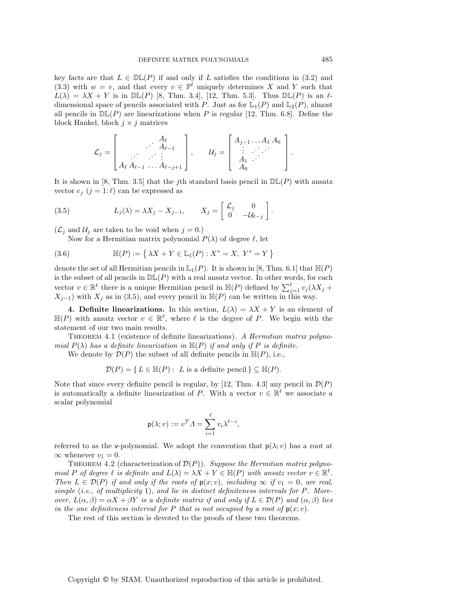key facts are that  $L \in \mathbb{DL}(P)$  if and only if L satisfies the conditions in (3.2) and (3.3) with  $w = v$ , and that every  $v \in \mathbb{F}^{\ell}$  uniquely determines X and Y such that  $L(\lambda) = \lambda X + Y$  is in  $\mathbb{DL}(P)$  [8, Thm. 3.4], [12, Thm. 5.3]. Thus  $\mathbb{DL}(P)$  is an  $\ell$ dimensional space of pencils associated with P. Just as for  $\mathbb{L}_1(P)$  and  $\mathbb{L}_2(P)$ , almost all pencils in  $D\mathbb{L}(P)$  are linearizations when P is regular [12, Thm. 6.8]. Define the block Hankel, block  $j \times j$  matrices

$$
\mathcal{L}_j=\left[\begin{matrix}A_\ell\\ A_{\ell-1}\end{matrix}\right],\qquad \mathcal{U}_j=\left[\begin{matrix}A_{j-1}\ldots A_1\,A_0\\ \vdots\\ A_1\end{matrix}\right].
$$

It is shown in [8, Thm. 3.5] that the jth standard basis pencil in  $D\mathbb{L}(P)$  with ansatz vector  $e_j$   $(j = 1: \ell)$  can be expressed as

(3.5) 
$$
L_j(\lambda) = \lambda X_j - X_{j-1}, \qquad X_j = \begin{bmatrix} \mathcal{L}_j & 0 \\ 0 & -\mathcal{U}_{\ell-j} \end{bmatrix}.
$$

 $(\mathcal{L}_i \text{ and } \mathcal{U}_j \text{ are taken to be void when } j = 0.)$ 

Now for a Hermitian matrix polynomial  $P(\lambda)$  of degree  $\ell$ , let

(3.6) 
$$
\mathbb{H}(P) := \{ \lambda X + Y \in \mathbb{L}_1(P) : X^* = X, Y^* = Y \}
$$

denote the set of all Hermitian pencils in  $\mathbb{L}_1(P)$ . It is shown in [8, Thm. 6.1] that  $\mathbb{H}(P)$ is the subset of all pencils in  $D\mathbb{L}(P)$  with a real ansatz vector. In other words, for each vector  $v \in \mathbb{R}^{\ell}$  there is a unique Hermitian pencil in  $\mathbb{H}(P)$  defined by  $\sum_{j=1}^{\ell} v_j(\lambda X_j +$  $X_{j-1}$ ) with  $X_j$  as in (3.5), and every pencil in  $\mathbb{H}(P)$  can be written in this way.

**4. Definite linearizations.** In this section,  $L(\lambda) = \lambda X + Y$  is an element of  $\mathbb{H}(P)$  with ansatz vector  $v \in \mathbb{R}^{\ell}$ , where  $\ell$  is the degree of P. We begin with the statement of our two main results.

Theorem 4.1 (existence of definite linearizations). *A Hermitian matrix polynomial*  $P(\lambda)$  *has a definite linearization in*  $\mathbb{H}(P)$  *if and only if* P *is definite.* 

We denote by  $\mathcal{D}(P)$  the subset of all definite pencils in  $\mathbb{H}(P)$ , i.e.,

$$
\mathcal{D}(P) = \{ L \in \mathbb{H}(P) : L \text{ is a definite pencil } \} \subseteq \mathbb{H}(P).
$$

Note that since every definite pencil is regular, by [12, Thm. 4.3] any pencil in  $\mathcal{D}(P)$ is automatically a definite linearization of P. With a vector  $v \in \mathbb{R}^{\ell}$  we associate a scalar polynomial

$$
\mathsf{p}(\lambda; v) := v^T A = \sum_{i=1}^{\ell} v_i \lambda^{\ell - i},
$$

referred to as the v-polynomial. We adopt the convention that  $p(\lambda; v)$  has a root at  $\infty$  whenever  $v_1 = 0$ .

THEOREM 4.2 (characterization of  $\mathcal{D}(P)$ ). Suppose the Hermitian matrix polyno*mial P* of degree  $\ell$  is definite and  $L(\lambda) = \lambda X + Y \in \mathbb{H}(P)$  with ansatz vector  $v \in \mathbb{R}^{\ell}$ . *Then*  $L \in \mathcal{D}(P)$  *if and only if the roots of*  $p(x; v)$ *, including*  $\infty$  *if*  $v_1 = 0$ *, are real, simple* (*i.e., of multiplicity* 1)*, and lie in distinct definiteness intervals for* P*. Moreover,*  $L(\alpha, \beta) = \alpha X + \beta Y$  *is a definite matrix if and only if*  $L \in \mathcal{D}(P)$  *and*  $(\alpha, \beta)$  *lies in the one definiteness interval for*  $P$  *that is not occupied by a root of*  $p(x; v)$ *.* 

The rest of this section is devoted to the proofs of these two theorems.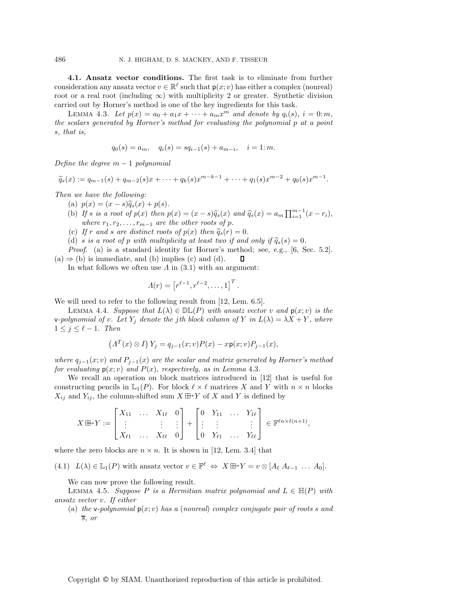**4.1. Ansatz vector conditions.** The first task is to eliminate from further consideration any ansatz vector  $v \in \mathbb{R}^{\ell}$  such that  $p(x; v)$  has either a complex (nonreal) root or a real root (including  $\infty$ ) with multiplicity 2 or greater. Synthetic division carried out by Horner's method is one of the key ingredients for this task.

LEMMA 4.3. Let  $p(x) = a_0 + a_1x + \cdots + a_mx^m$  and denote by  $q_i(s)$ ,  $i = 0$ : m, *the scalars generated by Horner's method for evaluating the polynomial* p *at a point* s*, that is,*

$$
q_0(s) = a_m
$$
,  $q_i(s) = sq_{i-1}(s) + a_{m-i}$ ,  $i = 1$ : m.

*Define the degree* m − 1 *polynomial*

 $\widehat{q}_s(x) := q_{m-1}(s) + q_{m-2}(s)x + \cdots + q_k(s)x^{m-k-1} + \cdots + q_1(s)x^{m-2} + q_0(s)x^{m-1}.$ 

*Then we have the following:*

- (a)  $p(x) = (x s)\hat{q}_s(x) + p(s)$ .
- (b) *If* s is a root of  $p(x)$  then  $p(x) = (x s)\hat{q}_s(x)$  and  $\hat{q}_s(x) = a_m \prod_{i=1}^{m-1} (x r_i)$ , *where*  $r_1, r_2, \ldots, r_{m-1}$  *are the other roots of* p.
- (c) If r and s are distinct roots of  $p(x)$  then  $\hat{q}_s(r)=0$ .
- (d) s is a root of p with multiplicity at least two if and only if  $\hat{q}_s(s)=0$ .
- *Proof*. (a) is a standard identity for Horner's method; see, e.g., [6, Sec. 5.2].  $(a) \Rightarrow$  (b) is immediate, and (b) implies (c) and (d). О

In what follows we often use  $\Lambda$  in (3.1) with an argument:

$$
\Lambda(r) = [r^{\ell-1}, r^{\ell-2}, \dots, 1]^T.
$$

We will need to refer to the following result from [12, Lem. 6.5].

LEMMA 4.4. *Suppose that*  $L(\lambda) \in \mathbb{DL}(P)$  *with ansatz vector* v and  $p(x; v)$  *is the*  $\vee$ *-polynomial of*  $v$ *. Let*  $Y_i$  *denote the jth block column of*  $Y$  *in*  $L(\lambda) = \lambda X + Y$ *, where*  $1 \leq j \leq \ell - 1$ . Then

$$
\left(\Lambda^T(x)\otimes I\right)Y_j=q_{j-1}(x;v)P(x)-x\mathsf{p}(x;v)P_{j-1}(x),
$$

*where*  $q_{j-1}(x; v)$  *and*  $P_{j-1}(x)$  *are the scalar and matrix generated by Horner's method for evaluating*  $p(x; v)$  *and*  $P(x)$ *, respectively, as in Lemma* 4.3*.* 

We recall an operation on block matrices introduced in [12] that is useful for constructing pencils in  $\mathbb{L}_1(P)$ . For block  $\ell \times \ell$  matrices X and Y with  $n \times n$  blocks  $X_{ij}$  and  $Y_{ij}$ , the column-shifted sum  $X \boxplus Y$  of X and Y is defined by

$$
X \boxplus Y := \begin{bmatrix} X_{11} & \dots & X_{1\ell} & 0 \\ \vdots & & \vdots & \vdots \\ X_{\ell 1} & \dots & X_{\ell \ell} & 0 \end{bmatrix} + \begin{bmatrix} 0 & Y_{11} & \dots & Y_{1\ell} \\ \vdots & \vdots & & \vdots \\ 0 & Y_{\ell 1} & \dots & Y_{\ell \ell} \end{bmatrix} \in \mathbb{F}^{\ell n \times \ell (n+1)},
$$

where the zero blocks are  $n \times n$ . It is shown in [12, Lem. 3.4] that

(4.1)  $L(\lambda) \in \mathbb{L}_1(P)$  with ansatz vector  $v \in \mathbb{F}^{\ell} \Leftrightarrow X \boxplus Y = v \otimes [A_{\ell} \ A_{\ell-1} \ \dots \ A_0].$ 

We can now prove the following result.

LEMMA 4.5. *Suppose* P *is a Hermitian matrix polynomial and*  $L \in \mathbb{H}(P)$  *with ansatz vector* v*. If either*

(a) *the* v-polynomial  $p(x; v)$  *has a* (*nonreal*) *complex conjugate pair of roots s* and s*, or*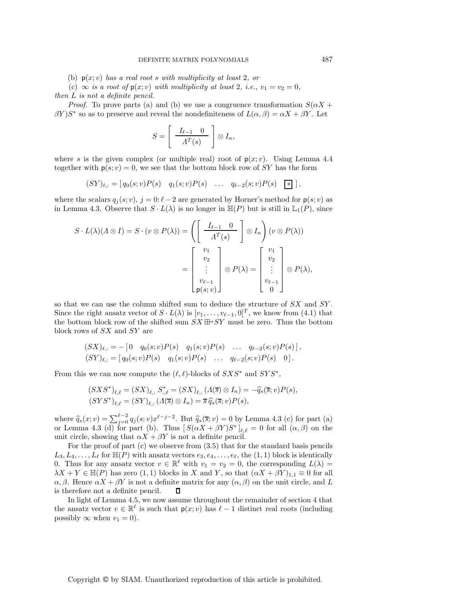(b) p(x; v) *has a real root* s *with multiplicity at least* 2*, or*

(c)  $\infty$  *is a root of*  $p(x; v)$  *with multiplicity at least 2, i.e.,*  $v_1 = v_2 = 0$ *, then* L *is not a definite pencil.*

*Proof.* To prove parts (a) and (b) we use a congruence transformation  $S(\alpha X + \beta Y)$  $\beta Y$ )S<sup>\*</sup> so as to preserve and reveal the nondefiniteness of  $L(\alpha, \beta) = \alpha X + \beta Y$ . Let

$$
S = \left[ \begin{array}{cc} \frac{I_{\ell-1} & 0}{\Lambda^T(s)} \end{array} \right] \otimes I_n,
$$

where s is the given complex (or multiple real) root of  $p(x; v)$ . Using Lemma 4.4 together with  $p(s; v) = 0$ , we see that the bottom block row of SY has the form

$$
(SY)_{\ell,:} = [ q_0(s; v)P(s) \quad q_1(s; v)P(s) \quad \dots \quad q_{\ell-2}(s; v)P(s) \quad \boxed{\ast} ],
$$

where the scalars  $q_j(s; v)$ ,  $j = 0: \ell - 2$  are generated by Horner's method for  $p(s; v)$  as in Lemma 4.3. Observe that  $S \cdot L(\lambda)$  is no longer in  $\mathbb{H}(P)$  but is still in  $\mathbb{L}_1(P)$ , since

$$
S \cdot L(\lambda)(\Lambda \otimes I) = S \cdot (v \otimes P(\lambda)) = \left( \begin{bmatrix} I_{\ell-1} & 0 \\ \frac{I_{\ell-1}}{\Lambda^T(s)} \end{bmatrix} \otimes I_n \right) (v \otimes P(\lambda))
$$

$$
= \begin{bmatrix} v_1 \\ v_2 \\ \vdots \\ v_{\ell-1} \\ p(s; v) \end{bmatrix} \otimes P(\lambda) = \begin{bmatrix} v_1 \\ v_2 \\ \vdots \\ v_{\ell-1} \\ 0 \end{bmatrix} \otimes P(\lambda),
$$

so that we can use the column shifted sum to deduce the structure of  $SX$  and  $SY$ . Since the right ansatz vector of  $S \cdot L(\lambda)$  is  $[v_1, \ldots, v_{\ell-1}, 0]^T$ , we know from (4.1) that the bottom block row of the shifted sum  $SX \oplus SY$  must be zero. Thus the bottom block rows of  $SX$  and  $SY$  are

$$
(SX)_{\ell,:} = -[0 \quad q_0(s; v)P(s) \quad q_1(s; v)P(s) \quad \dots \quad q_{\ell-2}(s; v)P(s)],
$$
  
\n
$$
(SY)_{\ell,:} = [q_0(s; v)P(s) \quad q_1(s; v)P(s) \quad \dots \quad q_{\ell-2}(s; v)P(s) \quad 0].
$$

From this we can now compute the  $(\ell, \ell)$ -blocks of  $SXS^*$  and  $SYS^*,$ 

$$
\begin{aligned} (SXS^*)_{\ell,\ell} &= (SX)_{\ell,:} \ S^*_{:, \ell} = (SX)_{\ell,:} \ (A(\overline{s}) \otimes I_n) = -\widehat{q}_s(\overline{s}; v)P(s), \\ (SYS^*)_{\ell,\ell} &= (SY)_{\ell,:} \ (A(\overline{s}) \otimes I_n) = \overline{s} \ \widehat{q}_s(\overline{s}; v)P(s), \end{aligned}
$$

where  $\hat{q}_s(x; v) = \sum_{j=0}^{\ell-2} q_j(s; v) x^{\ell-j-2}$ . But  $\hat{q}_s(\overline{s}; v) = 0$  by Lemma 4.3 (c) for part (a) or Lemma 4.3 (d) for part (b). Thus  $[S(\alpha X + \beta Y)S^*]_{\ell,\ell} = 0$  for all  $(\alpha, \beta)$  on the unit circle, showing that  $\alpha X + \beta Y$  is not a definite pencil.

For the proof of part  $(c)$  we observe from  $(3.5)$  that for the standard basis pencils  $L_3, L_4, \ldots, L_\ell$  for  $\mathbb{H}(P)$  with ansatz vectors  $e_3, e_4, \ldots, e_\ell$ , the  $(1, 1)$  block is identically 0. Thus for any ansatz vector  $v \in \mathbb{R}^{\ell}$  with  $v_1 = v_2 = 0$ , the corresponding  $L(\lambda) =$  $\lambda X + Y \in \mathbb{H}(P)$  has zero  $(1, 1)$  blocks in X and Y, so that  $(\alpha X + \beta Y)_{1,1} \equiv 0$  for all  $\alpha$ ,  $\beta$ . Hence  $\alpha X + \beta Y$  is not a definite matrix for any  $(\alpha, \beta)$  on the unit circle, and L is therefore not a definite pencil.  $\Box$ 

In light of Lemma 4.5, we now assume throughout the remainder of section 4 that the ansatz vector  $v \in \mathbb{R}^{\ell}$  is such that  $p(x; v)$  has  $\ell - 1$  distinct real roots (including possibly  $\infty$  when  $v_1 = 0$ ).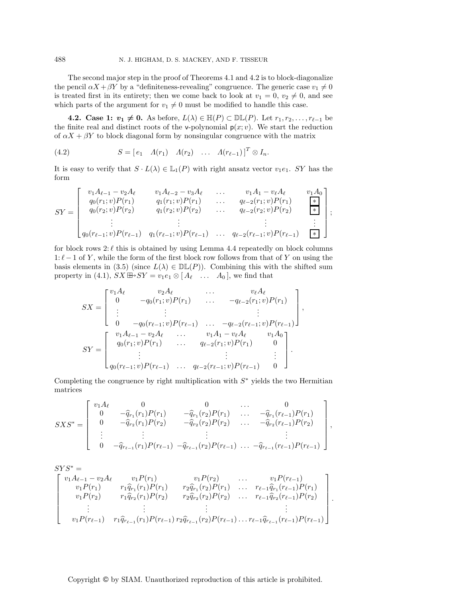The second major step in the proof of Theorems 4.1 and 4.2 is to block-diagonalize the pencil  $\alpha X + \beta Y$  by a "definiteness-revealing" congruence. The generic case  $v_1 \neq 0$ is treated first in its entirety; then we come back to look at  $v_1 = 0$ ,  $v_2 \neq 0$ , and see which parts of the argument for  $v_1 \neq 0$  must be modified to handle this case.

**4.2. Case 1:**  $v_1 \neq 0$ . As before,  $L(\lambda) \in \mathbb{H}(P) \subset \mathbb{DL}(P)$ . Let  $r_1, r_2, \ldots, r_{\ell-1}$  be the finite real and distinct roots of the v-polynomial  $p(x; v)$ . We start the reduction of  $\alpha X + \beta Y$  to block diagonal form by nonsingular congruence with the matrix

(4.2) 
$$
S = \begin{bmatrix} e_1 & \Lambda(r_1) & \Lambda(r_2) & \ldots & \Lambda(r_{\ell-1}) \end{bmatrix}^T \otimes I_n.
$$

It is easy to verify that  $S \cdot L(\lambda) \in \mathbb{L}_1(P)$  with right ansatz vector  $v_1e_1$ . SY has the form

$$
SY = \begin{bmatrix} v_1 A_{\ell-1} - v_2 A_{\ell} & v_1 A_{\ell-2} - v_3 A_{\ell} & \dots & v_1 A_1 - v_{\ell} A_{\ell} & v_1 A_0 \\ q_0(r_1; v) P(r_1) & q_1(r_1; v) P(r_1) & \dots & q_{\ell-2}(r_1; v) P(r_1) & \ast \\ q_0(r_2; v) P(r_2) & q_1(r_2; v) P(r_2) & \dots & q_{\ell-2}(r_2; v) P(r_2) & \ast \\ \vdots & \vdots & \vdots & \vdots & \vdots \\ q_0(r_{\ell-1}; v) P(r_{\ell-1}) & q_1(r_{\ell-1}; v) P(r_{\ell-1}) & \dots & q_{\ell-2}(r_{\ell-1}; v) P(r_{\ell-1}) & \ast \end{bmatrix};
$$

for block rows  $2:\ell$  this is obtained by using Lemma 4.4 repeatedly on block columns  $1:\ell-1$  of Y, while the form of the first block row follows from that of Y on using the basis elements in (3.5) (since  $L(\lambda) \in \mathbb{DL}(P)$ ). Combining this with the shifted sum property in (4.1),  $SX \boxplus Y = v_1e_1 \otimes [A_{\ell} \dots A_0]$ , we find that

$$
SX = \begin{bmatrix} v_1 A_{\ell} & v_2 A_{\ell} & \dots & v_{\ell} A_{\ell} \\ 0 & -q_0(r_1; v)P(r_1) & \dots & -q_{\ell-2}(r_1; v)P(r_1) \\ \vdots & \vdots & & \vdots \\ 0 & -q_0(r_{\ell-1}; v)P(r_{\ell-1}) & \dots & -q_{\ell-2}(r_{\ell-1}; v)P(r_{\ell-1}) \end{bmatrix},
$$
  
\n
$$
SY = \begin{bmatrix} v_1 A_{\ell-1} - v_2 A_{\ell} & \dots & v_1 A_1 - v_{\ell} A_{\ell} & v_1 A_0 \\ q_0(r_1; v)P(r_1) & \dots & q_{\ell-2}(r_1; v)P(r_1) & 0 \\ \vdots & & \vdots & \vdots \\ q_0(r_{\ell-1}; v)P(r_{\ell-1}) & \dots & q_{\ell-2}(r_{\ell-1}; v)P(r_{\ell-1}) & 0 \end{bmatrix}.
$$

Completing the congruence by right multiplication with  $S^*$  yields the two Hermitian matrices

$$
SXS^* = \begin{bmatrix} v_1 A_{\ell} & 0 & 0 & \dots & 0 \\ 0 & -\hat{q}_{r_1}(r_1)P(r_1) & -\hat{q}_{r_1}(r_2)P(r_1) & \dots & -\hat{q}_{r_1}(r_{\ell-1})P(r_1) \\ 0 & -\hat{q}_{r_2}(r_1)P(r_2) & -\hat{q}_{r_2}(r_2)P(r_2) & \dots & -\hat{q}_{r_2}(r_{\ell-1})P(r_2) \\ \vdots & \vdots & \vdots & \vdots & \vdots \\ 0 & -\hat{q}_{r_{\ell-1}}(r_1)P(r_{\ell-1}) & -\hat{q}_{r_{\ell-1}}(r_2)P(r_{\ell-1}) & \dots & -\hat{q}_{r_{\ell-1}}(r_{\ell-1})P(r_{\ell-1}) \end{bmatrix},
$$

$$
SYS^* = \n\begin{bmatrix}\nv_1 A_{\ell-1} - v_2 A_{\ell} & v_1 P(r_1) & v_1 P(r_2) & \dots & v_1 P(r_{\ell-1}) \\
v_1 P(r_1) & r_1 \hat{q}_{r_1}(r_1) P(r_1) & r_2 \hat{q}_{r_1}(r_2) P(r_1) & \dots & r_{\ell-1} \hat{q}_{r_1}(r_{\ell-1}) P(r_1) \\
v_1 P(r_2) & r_1 \hat{q}_{r_2}(r_1) P(r_2) & r_2 \hat{q}_{r_2}(r_2) P(r_2) & \dots & r_{\ell-1} \hat{q}_{r_2}(r_{\ell-1}) P(r_2) \\
\vdots & \vdots & \vdots & \vdots \\
v_1 P(r_{\ell-1}) & r_1 \hat{q}_{r_{\ell-1}}(r_1) P(r_{\ell-1}) r_2 \hat{q}_{r_{\ell-1}}(r_2) P(r_{\ell-1}) & \dots & r_{\ell-1} \hat{q}_{r_{\ell-1}}(r_{\ell-1}) P(r_{\ell-1})\n\end{bmatrix}.
$$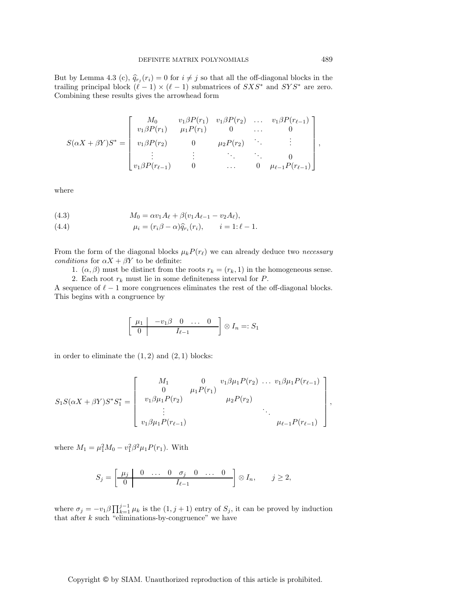But by Lemma 4.3 (c),  $\hat{q}_{r_j}(r_i) = 0$  for  $i \neq j$  so that all the off-diagonal blocks in the trailing principal block  $(\ell - 1) \times (\ell - 1)$  submatrices of  $S X S^*$  and  $S Y S^*$  are zero. Combining these results gives the arrowhead form

$$
S(\alpha X + \beta Y)S^* = \begin{bmatrix} M_0 & v_1\beta P(r_1) & v_1\beta P(r_2) & \dots & v_1\beta P(r_{\ell-1}) \\ v_1\beta P(r_1) & \mu_1 P(r_1) & 0 & \dots & 0 \\ v_1\beta P(r_2) & 0 & \mu_2 P(r_2) & \vdots & \vdots \\ \vdots & \vdots & \ddots & \ddots & 0 \\ v_1\beta P(r_{\ell-1}) & 0 & \dots & 0 & \mu_{\ell-1} P(r_{\ell-1}) \end{bmatrix},
$$

where

(4.3) 
$$
M_0 = \alpha v_1 A_\ell + \beta (v_1 A_{\ell-1} - v_2 A_\ell),
$$

(4.4) 
$$
\mu_i = (r_i \beta - \alpha) \widehat{q}_{r_i}(r_i), \qquad i = 1: \ell - 1.
$$

From the form of the diagonal blocks  $\mu_k P(r_\ell)$  we can already deduce two *necessary conditions* for  $\alpha X + \beta Y$  to be definite:

1.  $(\alpha, \beta)$  must be distinct from the roots  $r_k = (r_k, 1)$  in the homogeneous sense.

2. Each root  $r_k$  must lie in some definiteness interval for  $P$ .

A sequence of  $\ell - 1$  more congruences eliminates the rest of the off-diagonal blocks. This begins with a congruence by

$$
\left[\begin{array}{c|c} \mu_1 & -v_1\beta & 0 & \dots & 0 \\ \hline 0 & I_{\ell-1} & \end{array}\right] \otimes I_n =: S_1
$$

in order to eliminate the  $(1, 2)$  and  $(2, 1)$  blocks:

$$
S_1S(\alpha X + \beta Y)S^*S_1^* = \begin{bmatrix} M_1 & 0 & v_1\beta\mu_1P(r_2) & \dots & v_1\beta\mu_1P(r_{\ell-1}) \\ 0 & \mu_1P(r_1) & \mu_2P(r_2) & \dots & v_1\beta\mu_1P(r_{\ell-1}) \\ \vdots & \vdots & \ddots & \vdots \\ v_1\beta\mu_1P(r_{\ell-1}) & \mu_{\ell-1}P(r_{\ell-1}) \end{bmatrix},
$$

where  $M_1 = \mu_1^2 M_0 - v_1^2 \beta^2 \mu_1 P(r_1)$ . With

$$
S_j = \left[\begin{array}{c|ccc} \mu_j & 0 & \dots & 0 & \sigma_j & 0 & \dots & 0 \\ \hline 0 & & & I_{\ell-1} & & \end{array}\right] \otimes I_n, \qquad j \geq 2,
$$

where  $\sigma_j = -v_1 \beta \prod_{k=1}^{j-1} \mu_k$  is the  $(1, j+1)$  entry of  $S_j$ , it can be proved by induction that after  $k$  such "eliminations-by-congruence" we have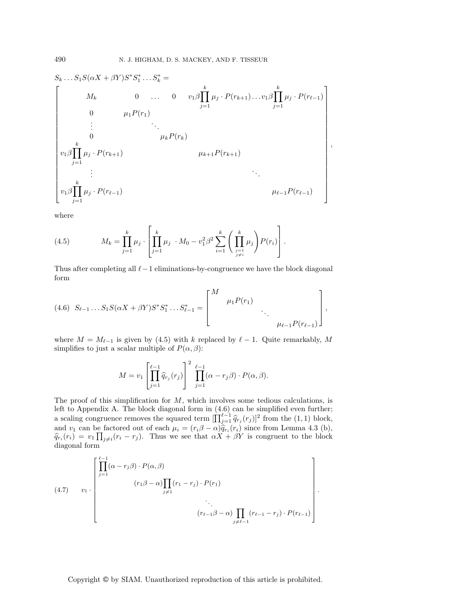$$
S_{k}...S_{1}S(\alpha X + \beta Y)S^{*}S_{1}^{*}...S_{k}^{*} =
$$
\n
$$
\begin{bmatrix}\nM_{k} & 0 & \dots & 0 & v_{1}\beta \prod_{j=1}^{k} \mu_{j} \cdot P(r_{k+1})...v_{1}\beta \prod_{j=1}^{k} \mu_{j} \cdot P(r_{\ell-1}) \\
0 & \mu_{1}P(r_{1}) & \vdots & \ddots \\
0 & \mu_{k}P(r_{k}) & \mu_{k+1}P(r_{k+1}) & \vdots \\
v_{1}\beta \prod_{j=1}^{k} \mu_{j} \cdot P(r_{k+1}) & \mu_{k+1}P(r_{k+1}) & \vdots \\
v_{1}\beta \prod_{j=1}^{k} \mu_{j} \cdot P(r_{\ell-1}) & \mu_{\ell-1}P(r_{\ell-1})\n\end{bmatrix},
$$

where

(4.5) 
$$
M_k = \prod_{j=1}^k \mu_j \cdot \left[ \prod_{j=1}^k \mu_j \cdot M_0 - v_1^2 \beta^2 \sum_{i=1}^k \left( \prod_{\substack{j=1 \ j \neq i}}^k \mu_j \right) P(r_i) \right].
$$

Thus after completing all  $\ell - 1$  eliminations-by-congruence we have the block diagonal form

(4.6) 
$$
S_{\ell-1} \dots S_1 S(\alpha X + \beta Y) S^* S_1^* \dots S_{\ell-1}^* = \begin{bmatrix} M & & & \\ & \mu_1 P(r_1) & & \\ & & \ddots & \\ & & & \mu_{\ell-1} P(r_{\ell-1}) \end{bmatrix}
$$
,

where  $M = M_{\ell-1}$  is given by (4.5) with k replaced by  $\ell-1$ . Quite remarkably, M simplifies to just a scalar multiple of  $P(\alpha, \beta)$ :

$$
M = v_1 \left[ \prod_{j=1}^{\ell-1} \widehat{q}_{r_j}(r_j) \right]^2 \prod_{j=1}^{\ell-1} (\alpha - r_j \beta) \cdot P(\alpha, \beta).
$$

The proof of this simplification for  $M$ , which involves some tedious calculations, is left to Appendix A. The block diagonal form in (4.6) can be simplified even further; a scaling congruence removes the squared term  $[\prod_{j=1}^{\ell-1} \hat{q}_{r_j}(r_j)]^2$  from the (1, 1) block, and  $v_1$  can be factored out of each  $\mu_i = (r_i \beta - \alpha) \hat{q}_{r_i}(r_i)$  since from Lemma 4.3 (b),  $\widehat{q}_{r_i}(r_i) = v_1 \prod_{j \neq i} (r_i - r_j)$ . Thus we see that  $\alpha X + \beta Y$  is congruent to the block diagonal form

(4.7) 
$$
v_1 \cdot \begin{bmatrix} \prod_{j=1}^{\ell-1} (\alpha - r_j \beta) \cdot P(\alpha, \beta) & & \\ (r_1 \beta - \alpha) \prod_{j \neq 1} (r_1 - r_j) \cdot P(r_1) & & \\ & \ddots & & \\ & (r_{\ell-1} \beta - \alpha) \prod_{j \neq \ell-1} (r_{\ell-1} - r_j) \cdot P(r_{\ell-1}) \end{bmatrix}.
$$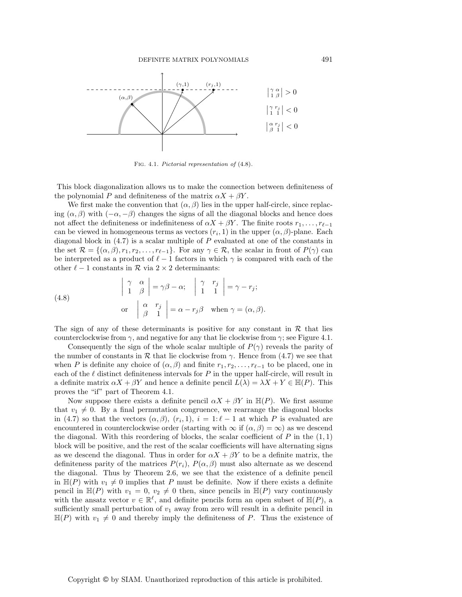

Fig. 4.1. *Pictorial representation of* (4.8)*.*

This block diagonalization allows us to make the connection between definiteness of the polynomial P and definiteness of the matrix  $\alpha X + \beta Y$ .

We first make the convention that  $(\alpha, \beta)$  lies in the upper half-circle, since replacing  $(\alpha, \beta)$  with  $(-\alpha, -\beta)$  changes the signs of all the diagonal blocks and hence does not affect the definiteness or indefiniteness of  $\alpha X + \beta Y$ . The finite roots  $r_1, \ldots, r_{\ell-1}$ can be viewed in homogeneous terms as vectors  $(r_i, 1)$  in the upper  $(\alpha, \beta)$ -plane. Each diagonal block in (4.7) is a scalar multiple of P evaluated at one of the constants in the set  $\mathcal{R} = \{(\alpha, \beta), r_1, r_2, \dots, r_{\ell-1}\}.$  For any  $\gamma \in \mathcal{R}$ , the scalar in front of  $P(\gamma)$  can be interpreted as a product of  $\ell-1$  factors in which  $\gamma$  is compared with each of the other  $\ell - 1$  constants in  $\mathcal R$  via  $2 \times 2$  determinants:

(4.8) 
$$
\begin{vmatrix} \gamma & \alpha \\ 1 & \beta \end{vmatrix} = \gamma \beta - \alpha; \quad \begin{vmatrix} \gamma & r_j \\ 1 & 1 \end{vmatrix} = \gamma - r_j;
$$

$$
\text{or} \quad \begin{vmatrix} \alpha & r_j \\ \beta & 1 \end{vmatrix} = \alpha - r_j \beta \quad \text{when } \gamma = (\alpha, \beta).
$$

The sign of any of these determinants is positive for any constant in  $R$  that lies counterclockwise from  $\gamma$ , and negative for any that lie clockwise from  $\gamma$ ; see Figure 4.1.

Consequently the sign of the whole scalar multiple of  $P(\gamma)$  reveals the parity of the number of constants in  $\mathcal R$  that lie clockwise from  $\gamma$ . Hence from (4.7) we see that when P is definite any choice of  $(\alpha, \beta)$  and finite  $r_1, r_2, \ldots, r_{\ell-1}$  to be placed, one in each of the  $\ell$  distinct definiteness intervals for P in the upper half-circle, will result in a definite matrix  $\alpha X + \beta Y$  and hence a definite pencil  $L(\lambda) = \lambda X + Y \in \mathbb{H}(P)$ . This proves the "if" part of Theorem 4.1.

Now suppose there exists a definite pencil  $\alpha X + \beta Y$  in  $\mathbb{H}(P)$ . We first assume that  $v_1 \neq 0$ . By a final permutation congruence, we rearrange the diagonal blocks in (4.7) so that the vectors  $(\alpha, \beta), (r_i, 1), i = 1:\ell - 1$  at which P is evaluated are encountered in counterclockwise order (starting with  $\infty$  if  $(\alpha, \beta) = \infty$ ) as we descend the diagonal. With this reordering of blocks, the scalar coefficient of  $P$  in the  $(1, 1)$ block will be positive, and the rest of the scalar coefficients will have alternating signs as we descend the diagonal. Thus in order for  $\alpha X + \beta Y$  to be a definite matrix, the definiteness parity of the matrices  $P(r_i)$ ,  $P(\alpha, \beta)$  must also alternate as we descend the diagonal. Thus by Theorem 2.6, we see that the existence of a definite pencil in  $\mathbb{H}(P)$  with  $v_1 \neq 0$  implies that P must be definite. Now if there exists a definite pencil in  $\mathbb{H}(P)$  with  $v_1 = 0, v_2 \neq 0$  then, since pencils in  $\mathbb{H}(P)$  vary continuously with the ansatz vector  $v \in \mathbb{R}^{\ell}$ , and definite pencils form an open subset of  $\mathbb{H}(P)$ , a sufficiently small perturbation of  $v_1$  away from zero will result in a definite pencil in  $\mathbb{H}(P)$  with  $v_1 \neq 0$  and thereby imply the definiteness of P. Thus the existence of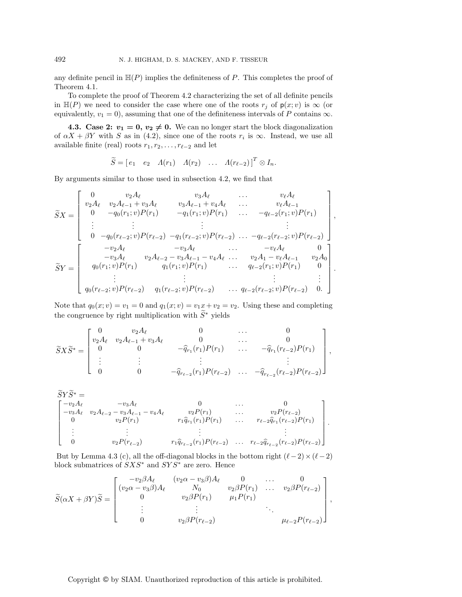any definite pencil in  $\mathbb{H}(P)$  implies the definiteness of P. This completes the proof of Theorem 4.1.

To complete the proof of Theorem 4.2 characterizing the set of all definite pencils in  $\mathbb{H}(P)$  we need to consider the case where one of the roots  $r_j$  of  $p(x; v)$  is  $\infty$  (or equivalently,  $v_1 = 0$ ), assuming that one of the definiteness intervals of P contains  $\infty$ .

**4.3. Case 2:**  $v_1 = 0$ ,  $v_2 \neq 0$ . We can no longer start the block diagonalization of  $\alpha X + \beta Y$  with S as in (4.2), since one of the roots  $r_i$  is  $\infty$ . Instead, we use all available finite (real) roots  $r_1, r_2, \ldots, r_{\ell-2}$  and let

$$
\widetilde{S} = [e_1 \quad e_2 \quad A(r_1) \quad A(r_2) \quad \dots \quad A(r_{\ell-2})]^T \otimes I_n.
$$

By arguments similar to those used in subsection 4.2, we find that

$$
\widetilde{S}X = \begin{bmatrix}\n0 & v_2A_{\ell} & v_3A_{\ell} & \dots & v_{\ell}A_{\ell} \\
v_2A_{\ell} & v_2A_{\ell-1} + v_3A_{\ell} & v_3A_{\ell-1} + v_4A_{\ell} & \dots & v_{\ell}A_{\ell-1} \\
0 & -q_0(r_1; v)P(r_1) & -q_1(r_1; v)P(r_1) & \dots & -q_{\ell-2}(r_1; v)P(r_1) \\
\vdots & \vdots & \vdots & \vdots & \vdots \\
0 & -q_0(r_{\ell-2}; v)P(r_{\ell-2}) & -q_1(r_{\ell-2}; v)P(r_{\ell-2}) & \dots & -q_{\ell-2}(r_{\ell-2}; v)P(r_{\ell-2})\n\end{bmatrix},
$$
\n
$$
\widetilde{S}Y = \begin{bmatrix}\n-v_2A_{\ell} & -v_3A_{\ell} & \dots & -v_{\ell}A_{\ell} & 0 \\
-v_3A_{\ell} & v_2A_{\ell-2} - v_3A_{\ell-1} - v_4A_{\ell} & \dots & v_2A_1 - v_{\ell}A_{\ell-1} & v_2A_0 \\
-v_3A_{\ell} & v_2A_{\ell-2} - v_3A_{\ell-1} - v_4A_{\ell} & \dots & v_2A_1 - v_{\ell}A_{\ell-1} & v_2A_0 \\
q_0(r_1; v)P(r_1) & q_1(r_1; v)P(r_1) & \dots & q_{\ell-2}(r_1; v)P(r_1) & 0 \\
\vdots & \vdots & \vdots & \vdots & \vdots \\
q_0(r_{\ell-2}; v)P(r_{\ell-2}) & q_1(r_{\ell-2}; v)P(r_{\ell-2}) & \dots & q_{\ell-2}(r_{\ell-2}; v)P(r_{\ell-2}) & 0.\n\end{bmatrix}.
$$

Note that  $q_0(x; v) = v_1 = 0$  and  $q_1(x; v) = v_1 x + v_2 = v_2$ . Using these and completing the congruence by right multiplication with  $\widetilde{S}^*$  yields

$$
\widetilde{S}X\widetilde{S}^* = \begin{bmatrix}\n0 & v_2A_{\ell} & 0 & \dots & 0 \\
v_2A_{\ell} & v_2A_{\ell-1} + v_3A_{\ell} & 0 & \dots & 0 \\
0 & 0 & -\widehat{q}_{r_1}(r_1)P(r_1) & \dots & -\widehat{q}_{r_1}(r_{\ell-2})P(r_1) \\
\vdots & \vdots & \vdots & \vdots & \vdots \\
0 & 0 & -\widehat{q}_{r_{\ell-2}}(r_1)P(r_{\ell-2}) & \dots & -\widehat{q}_{r_{\ell-2}}(r_{\ell-2})P(r_{\ell-2})\n\end{bmatrix}
$$

,

.

$$
SYS^* = \begin{bmatrix} -v_2 A_{\ell} & -v_3 A_{\ell} & 0 & \dots & 0 \\ -v_3 A_{\ell} & v_2 A_{\ell-2} - v_3 A_{\ell-1} - v_4 A_{\ell} & v_2 P(r_1) & \dots & v_2 P(r_{\ell-2}) \\ 0 & v_2 P(r_1) & r_1 \hat{q}_{r_1}(r_1) P(r_1) & \dots & r_{\ell-2} \hat{q}_{r_1}(r_{\ell-2}) P(r_1) \\ \vdots & \vdots & \vdots & \vdots & \vdots \\ 0 & v_2 P(r_{\ell-2}) & r_1 \hat{q}_{r_{\ell-2}}(r_1) P(r_{\ell-2}) & \dots & r_{\ell-2} \hat{q}_{r_{\ell-2}}(r_{\ell-2}) P(r_{\ell-2}) \end{bmatrix}
$$

But by Lemma 4.3 (c), all the off-diagonal blocks in the bottom right  $(\ell-2) \times (\ell-2)$ block submatrices of  $SXS^*$  and  $SYS^*$  are zero. Hence

$$
\widetilde{S}(\alpha X + \beta Y)\widetilde{S} = \begin{bmatrix}\n-v_2\beta A_{\ell} & (v_2\alpha - v_3\beta)A_{\ell} & 0 & \dots & 0 \\
(v_2\alpha - v_3\beta)A_{\ell} & N_0 & v_2\beta P(r_1) & \dots & v_2\beta P(r_{\ell-2}) \\
0 & v_2\beta P(r_1) & \mu_1 P(r_1) & \dots & v_2\beta P(r_{\ell-2}) \\
\vdots & \vdots & \ddots & \vdots & \ddots \\
0 & v_2\beta P(r_{\ell-2}) & \mu_{\ell-2} P(r_{\ell-2})\n\end{bmatrix},
$$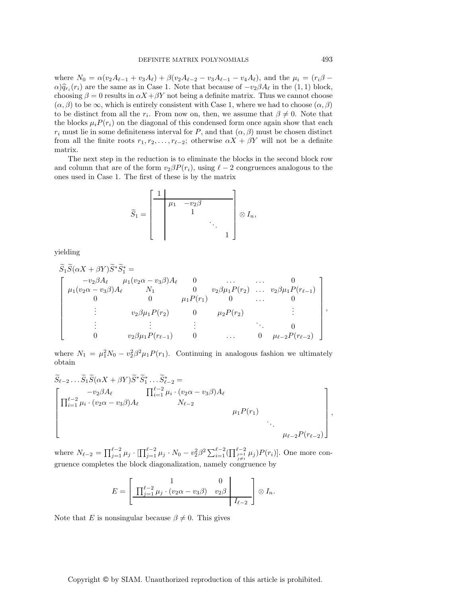where  $N_0 = \alpha (v_2 A_{\ell-1} + v_3 A_{\ell}) + \beta (v_2 A_{\ell-2} - v_3 A_{\ell-1} - v_4 A_{\ell}),$  and the  $\mu_i = (r_i \beta \alpha$ ) $\hat{q}_i(r_i)$  are the same as in Case 1. Note that because of  $-v_2\beta A_\ell$  in the (1,1) block, choosing  $\beta = 0$  results in  $\alpha X + \beta Y$  not being a definite matrix. Thus we cannot choose  $(\alpha, \beta)$  to be  $\infty$ , which is entirely consistent with Case 1, where we had to choose  $(\alpha, \beta)$ to be distinct from all the  $r_i$ . From now on, then, we assume that  $\beta \neq 0$ . Note that the blocks  $\mu_i P(r_i)$  on the diagonal of this condensed form once again show that each  $r_i$  must lie in some definiteness interval for P, and that  $(\alpha, \beta)$  must be chosen distinct from all the finite roots  $r_1, r_2, \ldots, r_{\ell-2}$ ; otherwise  $\alpha X + \beta Y$  will not be a definite matrix.

The next step in the reduction is to eliminate the blocks in the second block row and column that are of the form  $v_2\beta P(r_i)$ , using  $\ell-2$  congruences analogous to the ones used in Case 1. The first of these is by the matrix

$$
\widetilde{S}_1 = \begin{bmatrix} 1 & & & & \\ & \mu_1 & -v_2\beta & & \\ & & 1 & & \\ & & & \ddots & \\ & & & & 1 \end{bmatrix} \otimes I_n,
$$

yielding

$$
\widetilde{S}_{1}\widetilde{S}(\alpha X + \beta Y)\widetilde{S}^{*}\widetilde{S}_{1}^{*} =
$$
\n
$$
\begin{bmatrix}\n-v_{2}\beta A_{\ell} & \mu_{1}(v_{2}\alpha - v_{3}\beta)A_{\ell} & 0 & \dots & 0 \\
\mu_{1}(v_{2}\alpha - v_{3}\beta)A_{\ell} & N_{1} & 0 & v_{2}\beta\mu_{1}P(r_{2}) & \dots & v_{2}\beta\mu_{1}P(r_{\ell-1}) \\
0 & 0 & \mu_{1}P(r_{1}) & 0 & \dots & 0 \\
\vdots & \vdots & \ddots & \vdots & \ddots & 0 \\
0 & v_{2}\beta\mu_{1}P(r_{\ell-1}) & 0 & \dots & 0 & \mu_{\ell-2}P(r_{\ell-2})\n\end{bmatrix},
$$

where  $N_1 = \mu_1^2 N_0 - v_2^2 \beta^2 \mu_1 P(r_1)$ . Continuing in analogous fashion we ultimately obtain

$$
\widetilde{S}_{\ell-2} \dots \widetilde{S}_1 \widetilde{S}(\alpha X + \beta Y) \widetilde{S}^* \widetilde{S}_1^* \dots \widetilde{S}_{\ell-2}^* =
$$
\n
$$
\begin{bmatrix}\n-v_2 \beta A_{\ell} & \prod_{i=1}^{\ell-2} \mu_i \cdot (v_2 \alpha - v_3 \beta) A_{\ell} \\
\prod_{i=1}^{\ell-2} \mu_i \cdot (v_2 \alpha - v_3 \beta) A_{\ell} & N_{\ell-2} \\
& & & \mu_1 P(r_1) \\
& & & \ddots \\
& & & & \mu_{\ell-2} P(r_{\ell-2})\n\end{bmatrix},
$$

where  $N_{\ell-2} = \prod_{j=1}^{\ell-2} \mu_j \cdot \left[ \prod_{j=1}^{\ell-2} \mu_j \cdot N_0 - v_2^2 \beta^2 \sum_{i=1}^{\ell-2} (\prod_{\substack{j=1 \ j \neq i}}^{\ell-2} \mu_j) P(r_i) \right]$ . One more congruence completes the block diagonalization, namely congruence by

$$
E = \left[ \frac{1}{\prod_{j=1}^{\ell-2} \mu_j \cdot (v_2 \alpha - v_3 \beta)} \frac{0}{v_2 \beta} \right] \otimes I_n.
$$

Note that E is nonsingular because  $\beta \neq 0$ . This gives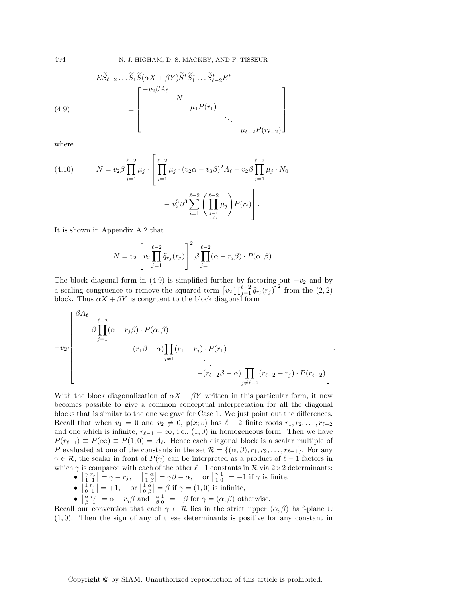(4.9)  
\n
$$
E \widetilde{S}_{\ell-2} \dots \widetilde{S}_1 \widetilde{S} (\alpha X + \beta Y) \widetilde{S}^* \widetilde{S}_1^* \dots \widetilde{S}_{\ell-2}^* E^*
$$
\n
$$
= \begin{bmatrix}\n-v_2 \beta A_{\ell} & & & \\
N & \mu_1 P(r_1) & & \\
& \ddots & \mu_{\ell-2} P(r_{\ell-2})\n\end{bmatrix},
$$

where

(4.10) 
$$
N = v_2 \beta \prod_{j=1}^{\ell-2} \mu_j \cdot \left[ \prod_{j=1}^{\ell-2} \mu_j \cdot (v_2 \alpha - v_3 \beta)^2 A_\ell + v_2 \beta \prod_{j=1}^{\ell-2} \mu_j \cdot N_0 - v_2^3 \beta^3 \sum_{i=1}^{\ell-2} \left( \prod_{j=1 \atop j \neq i}^{\ell-2} \mu_j \right) P(r_i) \right].
$$

It is shown in Appendix A.2 that

$$
N = v_2 \left[ v_2 \prod_{j=1}^{\ell-2} \widehat{q}_{r_j}(r_j) \right]^2 \beta \prod_{j=1}^{\ell-2} (\alpha - r_j \beta) \cdot P(\alpha, \beta).
$$

The block diagonal form in (4.9) is simplified further by factoring out  $-v_2$  and by a scaling congruence to remove the squared term  $[v_2 \prod_{j=1}^{i-2} \hat{q}_{r_j}(r_j)]^2$  from the  $(2, 2)$ block. Thus  $\alpha X + \beta Y$  is congruent to the block diagonal form

$$
-v_2 \cdot \begin{bmatrix} \beta A_{\ell} & & & \\ & -\beta \prod_{j=1}^{\ell-2} (\alpha - r_j \beta) \cdot P(\alpha, \beta) & & \\ & & -(r_1 \beta - \alpha) \prod_{j \neq 1} (r_1 - r_j) \cdot P(r_1) & \\ & & \ddots & \\ & & & -(r_{\ell-2} \beta - \alpha) \prod_{j \neq \ell-2} (r_{\ell-2} - r_j) \cdot P(r_{\ell-2}) \end{bmatrix}
$$

.

With the block diagonalization of  $\alpha X + \beta Y$  written in this particular form, it now becomes possible to give a common conceptual interpretation for all the diagonal blocks that is similar to the one we gave for Case 1. We just point out the differences. Recall that when  $v_1 = 0$  and  $v_2 \neq 0$ ,  $p(x; v)$  has  $\ell - 2$  finite roots  $r_1, r_2, \ldots, r_{\ell-2}$ and one which is infinite,  $r_{\ell-1} = \infty$ , i.e.,  $(1,0)$  in homogeneous form. Then we have  $P(r_{\ell-1}) \equiv P(\infty) \equiv P(1,0) = A_{\ell}$ . Hence each diagonal block is a scalar multiple of P evaluated at one of the constants in the set  $\mathcal{R} = \{(\alpha, \beta), r_1, r_2, \dots, r_{\ell-1}\}.$  For any  $\gamma \in \mathcal{R}$ , the scalar in front of  $P(\gamma)$  can be interpreted as a product of  $\ell - 1$  factors in which  $\gamma$  is compared with each of the other  $\ell-1$  constants in  $\mathcal R$  via  $2\times 2$  determinants:

- $\left| \begin{array}{c} \gamma r_j \\ 1 \end{array} \right| = \gamma r_j, \quad \left| \begin{array}{c} \gamma \alpha \\ 1 \end{array} \right| = \gamma \beta \alpha, \quad \text{or } \left| \begin{array}{c} \gamma 1 \\ 1 \end{array} \right| = -1 \text{ if } \gamma \text{ is finite},$
- $\begin{vmatrix} 1 & r_j \\ 0 & 1 \end{vmatrix} = +1$ , or  $\begin{vmatrix} 1 & \alpha \\ 0 & \beta \end{vmatrix} = \beta$  if  $\gamma = (1, 0)$  is infinite,
- $\left|\begin{array}{c} \alpha r_j \\ \beta 1 \end{array}\right| = \alpha r_j \beta$  and  $\left|\begin{array}{c} \alpha 1 \\ \beta 0 \end{array}\right| = -\beta$  for  $\gamma = (\alpha, \beta)$  otherwise.

Recall our convention that each  $\gamma \in \mathcal{R}$  lies in the strict upper  $(\alpha, \beta)$  half-plane ∪  $(1,0)$ . Then the sign of any of these determinants is positive for any constant in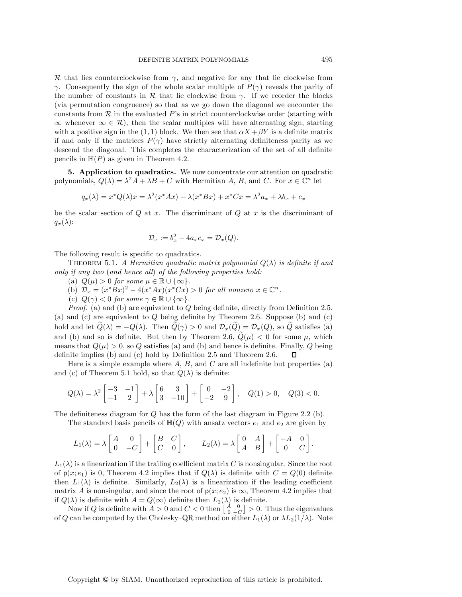$\mathcal R$  that lies counterclockwise from  $\gamma$ , and negative for any that lie clockwise from  $\gamma$ . Consequently the sign of the whole scalar multiple of  $P(\gamma)$  reveals the parity of the number of constants in  $R$  that lie clockwise from  $\gamma$ . If we reorder the blocks (via permutation congruence) so that as we go down the diagonal we encounter the constants from  $R$  in the evaluated  $P$ 's in strict counterclockwise order (starting with  $\infty$  whenever  $\infty \in \mathcal{R}$ , then the scalar multiples will have alternating sign, starting with a positive sign in the (1, 1) block. We then see that  $\alpha X + \beta Y$  is a definite matrix if and only if the matrices  $P(\gamma)$  have strictly alternating definiteness parity as we descend the diagonal. This completes the characterization of the set of all definite pencils in  $\mathbb{H}(P)$  as given in Theorem 4.2.

**5. Application to quadratics.** We now concentrate our attention on quadratic polynomials,  $Q(\lambda) = \lambda^2 A + \lambda B + C$  with Hermitian A, B, and C. For  $x \in \mathbb{C}^n$  let

$$
q_x(\lambda) = x^* Q(\lambda) x = \lambda^2 (x^* A x) + \lambda (x^* B x) + x^* C x = \lambda^2 a_x + \lambda b_x + c_x
$$

be the scalar section of  $Q$  at  $x$ . The discriminant of  $Q$  at  $x$  is the discriminant of  $q_x(\lambda)$ :

$$
\mathcal{D}_x := b_x^2 - 4a_x c_x = \mathcal{D}_x(Q).
$$

The following result is specific to quadratics.

THEOREM 5.1. *A Hermitian quadratic matrix polynomial*  $Q(\lambda)$  *is definite if and only if any two* (*and hence all*) *of the following properties hold:*

- (a)  $Q(\mu) > 0$  *for some*  $\mu \in \mathbb{R} \cup \{\infty\}.$
- (b)  $\mathcal{D}_x = (x^* B x)^2 4(x^* A x)(x^* C x) > 0$  *for all nonzero*  $x \in \mathbb{C}^n$ .
- (c)  $Q(\gamma) < 0$  *for some*  $\gamma \in \mathbb{R} \cup \{\infty\}.$

*Proof.* (a) and (b) are equivalent to Q being definite, directly from Definition 2.5. (a) and (c) are equivalent to Q being definite by Theorem 2.6. Suppose (b) and (c) hold and let  $Q(\lambda) = -Q(\lambda)$ . Then  $Q(\gamma) > 0$  and  $\mathcal{D}_x(Q) = \mathcal{D}_x(Q)$ , so Q satisfies (a) and (b) and so is definite. But then by Theorem 2.6,  $\tilde{Q}(\mu) < 0$  for some  $\mu$ , which means that  $Q(\mu) > 0$ , so Q satisfies (a) and (b) and hence is definite. Finally, Q being definite implies (b) and (c) hold by Definition 2.5 and Theorem 2.6. П

Here is a simple example where  $A, B$ , and  $C$  are all indefinite but properties (a) and (c) of Theorem 5.1 hold, so that  $Q(\lambda)$  is definite:

$$
Q(\lambda) = \lambda^2 \begin{bmatrix} -3 & -1 \\ -1 & 2 \end{bmatrix} + \lambda \begin{bmatrix} 6 & 3 \\ 3 & -10 \end{bmatrix} + \begin{bmatrix} 0 & -2 \\ -2 & 9 \end{bmatrix}, \quad Q(1) > 0, \quad Q(3) < 0.
$$

The definiteness diagram for Q has the form of the last diagram in Figure 2.2 (b).

The standard basis pencils of  $H(Q)$  with ansatz vectors  $e_1$  and  $e_2$  are given by

$$
L_1(\lambda) = \lambda \begin{bmatrix} A & 0 \\ 0 & -C \end{bmatrix} + \begin{bmatrix} B & C \\ C & 0 \end{bmatrix}, \qquad L_2(\lambda) = \lambda \begin{bmatrix} 0 & A \\ A & B \end{bmatrix} + \begin{bmatrix} -A & 0 \\ 0 & C \end{bmatrix}.
$$

 $L_1(\lambda)$  is a linearization if the trailing coefficient matrix C is nonsingular. Since the root of  $p(x; e_1)$  is 0, Theorem 4.2 implies that if  $Q(\lambda)$  is definite with  $C = Q(0)$  definite then  $L_1(\lambda)$  is definite. Similarly,  $L_2(\lambda)$  is a linearization if the leading coefficient matrix A is nonsingular, and since the root of  $p(x; e_2)$  is  $\infty$ , Theorem 4.2 implies that if  $Q(\lambda)$  is definite with  $A = Q(\infty)$  definite then  $L_2(\lambda)$  is definite.

Now if Q is definite with  $A > 0$  and  $C < 0$  then  $\begin{bmatrix} A & 0 \\ 0 & -C \end{bmatrix} > 0$ . Thus the eigenvalues of Q can be computed by the Cholesky–QR method on either  $L_1(\lambda)$  or  $\lambda L_2(1/\lambda)$ . Note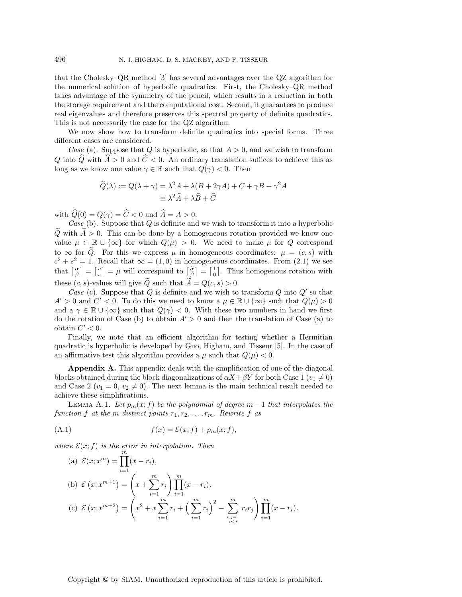that the Cholesky–QR method [3] has several advantages over the QZ algorithm for the numerical solution of hyperbolic quadratics. First, the Cholesky–QR method takes advantage of the symmetry of the pencil, which results in a reduction in both the storage requirement and the computational cost. Second, it guarantees to produce real eigenvalues and therefore preserves this spectral property of definite quadratics. This is not necessarily the case for the QZ algorithm.

We now show how to transform definite quadratics into special forms. Three different cases are considered.

*Case* (a). Suppose that  $Q$  is hyperbolic, so that  $A > 0$ , and we wish to transform Q into  $\hat{Q}$  with  $\hat{A} > 0$  and  $\hat{C} < 0$ . An ordinary translation suffices to achieve this as long as we know one value  $\gamma \in \mathbb{R}$  such that  $Q(\gamma) < 0$ . Then

$$
\widehat{Q}(\lambda) := Q(\lambda + \gamma) = \lambda^2 A + \lambda (B + 2\gamma A) + C + \gamma B + \gamma^2 A
$$
  

$$
\equiv \lambda^2 \widehat{A} + \lambda \widehat{B} + \widehat{C}
$$

with  $\widehat{Q}(0) = Q(\gamma) = \widehat{C} < 0$  and  $\widehat{A} = A > 0$ .

*Case* (b). Suppose that Q is definite and we wish to transform it into a hyperbolic  $\tilde{Q}$  with  $\tilde{A} > 0$ . This can be done by a homogeneous rotation provided we know one value  $\mu \in \mathbb{R} \cup \{\infty\}$  for which  $Q(\mu) > 0$ . We need to make  $\mu$  for Q correspond to  $\infty$  for  $\tilde{Q}$ . For this we express  $\mu$  in homogeneous coordinates:  $\mu = (c, s)$  with  $c^2 + s^2 = 1$ . Recall that  $\infty = (1,0)$  in homogeneous coordinates. From  $(2.1)$  we see that  $\begin{bmatrix} \alpha \\ \beta \end{bmatrix} = \begin{bmatrix} c \\ s \end{bmatrix} = \mu$  will correspond to  $\begin{bmatrix} \tilde{\alpha} \\ \tilde{\beta} \end{bmatrix} = \begin{bmatrix} 1 \\ 0 \end{bmatrix}$ . Thus homogenous rotation with these  $(c, s)$ -values will give  $\widetilde{Q}$  such that  $\widetilde{A} = Q(c, s) > 0$ .

*Case* (c). Suppose that  $Q$  is definite and we wish to transform  $Q$  into  $Q'$  so that  $A' > 0$  and  $C' < 0$ . To do this we need to know a  $\mu \in \mathbb{R} \cup {\infty}$  such that  $Q(\mu) > 0$ and a  $\gamma \in \mathbb{R} \cup {\infty}$  such that  $Q(\gamma) < 0$ . With these two numbers in hand we first do the rotation of Case (b) to obtain  $A' > 0$  and then the translation of Case (a) to obtain  $C' < 0$ .

Finally, we note that an efficient algorithm for testing whether a Hermitian quadratic is hyperbolic is developed by Guo, Higham, and Tisseur [5]. In the case of an affirmative test this algorithm provides a  $\mu$  such that  $Q(\mu) < 0$ .

**Appendix A.** This appendix deals with the simplification of one of the diagonal blocks obtained during the block diagonalizations of  $\alpha X + \beta Y$  for both Case 1 ( $v_1 \neq 0$ ) and Case 2 ( $v_1 = 0$ ,  $v_2 \neq 0$ ). The next lemma is the main technical result needed to achieve these simplifications.

LEMMA A.1. Let  $p_m(x; f)$  be the polynomial of degree  $m-1$  that interpolates the *function* f *at the m distinct* points  $r_1, r_2, \ldots, r_m$ *. Rewrite* f *as* 

(A.1) 
$$
f(x) = \mathcal{E}(x; f) + p_m(x; f),
$$

*where*  $\mathcal{E}(x; f)$  *is the error in interpolation. Then* 

(a) 
$$
\mathcal{E}(x; x^m) = \prod_{i=1}^m (x - r_i),
$$
  
\n(b)  $\mathcal{E}(x; x^{m+1}) = \left(x + \sum_{i=1}^m r_i\right) \prod_{i=1}^m (x - r_i),$   
\n(c)  $\mathcal{E}(x; x^{m+2}) = \left(x^2 + x \sum_{i=1}^m r_i + \left(\sum_{i=1}^m r_i\right)^2 - \sum_{i,j=1 \atop i < j}^m r_i r_j\right) \prod_{i=1}^m (x - r_i).$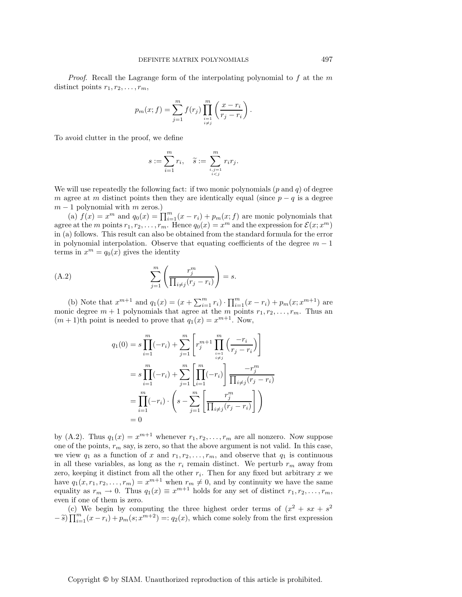*Proof*. Recall the Lagrange form of the interpolating polynomial to f at the m distinct points  $r_1, r_2, \ldots, r_m$ ,

$$
p_m(x; f) = \sum_{j=1}^m f(r_j) \prod_{\substack{i=1 \ i \neq j}}^m \left( \frac{x - r_i}{r_j - r_i} \right).
$$

To avoid clutter in the proof, we define

$$
s:=\sum_{i=1}^m r_i, \quad \widetilde{s}:=\sum_{i,j=1 \atop i
$$

We will use repeatedly the following fact: if two monic polynomials  $(p \text{ and } q)$  of degree m agree at m distinct points then they are identically equal (since  $p - q$  is a degree  $m-1$  polynomial with m zeros.)

(a)  $f(x) = x^m$  and  $q_0(x) = \prod_{i=1}^m (x - r_i) + p_m(x; f)$  are monic polynomials that agree at the m points  $r_1, r_2, \ldots, r_m$ . Hence  $q_0(x) = x^m$  and the expression for  $\mathcal{E}(x; x^m)$ in (a) follows. This result can also be obtained from the standard formula for the error in polynomial interpolation. Observe that equating coefficients of the degree  $m - 1$ terms in  $x^m = q_0(x)$  gives the identity

(A.2) 
$$
\sum_{j=1}^{m} \left( \frac{r_j^m}{\prod_{i \neq j} (r_j - r_i)} \right) = s.
$$

(b) Note that  $x^{m+1}$  and  $q_1(x) = (x + \sum_{i=1}^{m} r_i) \cdot \prod_{i=1}^{m} (x - r_i) + p_m(x; x^{m+1})$  are monic degree  $m + 1$  polynomials that agree at the m points  $r_1, r_2, \ldots, r_m$ . Thus an  $(m + 1)$ th point is needed to prove that  $q_1(x) = x^{m+1}$ . Now,

$$
q_1(0) = s \prod_{i=1}^m (-r_i) + \sum_{j=1}^m \left[ r_j^{m+1} \prod_{\substack{i=1 \\ i \neq j}}^m \left( \frac{-r_i}{r_j - r_i} \right) \right]
$$
  

$$
= s \prod_{i=1}^m (-r_i) + \sum_{j=1}^m \left[ \prod_{i=1}^m (-r_i) \right] \frac{-r_j^m}{\prod_{i \neq j} (r_j - r_i)}
$$
  

$$
= \prod_{i=1}^m (-r_i) \cdot \left( s - \sum_{j=1}^m \left[ \frac{r_j^m}{\prod_{i \neq j} (r_j - r_i)} \right] \right)
$$
  

$$
= 0
$$

by (A.2). Thus  $q_1(x) = x^{m+1}$  whenever  $r_1, r_2, \ldots, r_m$  are all nonzero. Now suppose one of the points,  $r_m$  say, is zero, so that the above argument is not valid. In this case, we view  $q_1$  as a function of x and  $r_1, r_2, \ldots, r_m$ , and observe that  $q_1$  is continuous in all these variables, as long as the  $r_i$  remain distinct. We perturb  $r_m$  away from zero, keeping it distinct from all the other  $r_i$ . Then for any fixed but arbitrary x we have  $q_1(x, r_1, r_2,...,r_m) = x^{m+1}$  when  $r_m \neq 0$ , and by continuity we have the same equality as  $r_m \to 0$ . Thus  $q_1(x) \equiv x^{m+1}$  holds for any set of distinct  $r_1, r_2, \ldots, r_m$ , even if one of them is zero.

(c) We begin by computing the three highest order terms of  $(x^2 + sx + s^2)$  $-\tilde{s}$ )  $\prod_{i=1}^{m}(x-r_i)+p_m(s;x^{m+2}) =: q_2(x)$ , which come solely from the first expression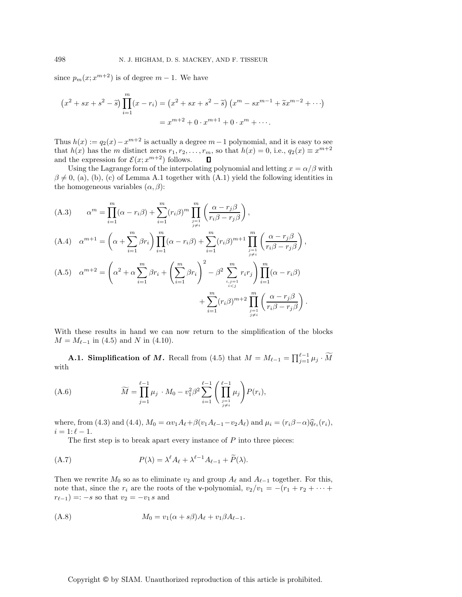since  $p_m(x; x^{m+2})$  is of degree  $m-1$ . We have

$$
(x^{2} + sx + s^{2} - \tilde{s}) \prod_{i=1}^{m} (x - r_{i}) = (x^{2} + sx + s^{2} - \tilde{s}) (x^{m} - sx^{m-1} + \tilde{s}x^{m-2} + \cdots)
$$

$$
= x^{m+2} + 0 \cdot x^{m+1} + 0 \cdot x^{m} + \cdots.
$$

Thus  $h(x) := q_2(x) - x^{m+2}$  is actually a degree  $m-1$  polynomial, and it is easy to see that  $h(x)$  has the m distinct zeros  $r_1, r_2, \ldots, r_m$ , so that  $h(x) = 0$ , i.e.,  $q_2(x) \equiv x^{m+2}$ and the expression for  $\mathcal{E}(x; x^{m+2})$  follows.  $\Box$ 

Using the Lagrange form of the interpolating polynomial and letting  $x = \alpha/\beta$  with  $\beta \neq 0$ , (a), (b), (c) of Lemma A.1 together with (A.1) yield the following identities in the homogeneous variables  $(\alpha, \beta)$ :

(A.3) 
$$
\alpha^{m} = \prod_{i=1}^{m} (\alpha - r_{i}\beta) + \sum_{i=1}^{m} (r_{i}\beta)^{m} \prod_{\substack{j=1 \ j \neq i}}^{m} \left( \frac{\alpha - r_{j}\beta}{r_{i}\beta - r_{j}\beta} \right),
$$
  
\n(A.4) 
$$
\alpha^{m+1} = \left( \alpha + \sum_{i=1}^{m} \beta r_{i} \right) \prod_{i=1}^{m} (\alpha - r_{i}\beta) + \sum_{i=1}^{m} (r_{i}\beta)^{m+1} \prod_{\substack{j=1 \ j \neq i}}^{m} \left( \frac{\alpha - r_{j}\beta}{r_{i}\beta - r_{j}\beta} \right),
$$
  
\n(A.5) 
$$
\alpha^{m+2} = \left( \alpha^{2} + \alpha \sum_{i=1}^{m} \beta r_{i} + \left( \sum_{i=1}^{m} \beta r_{i} \right)^{2} - \beta^{2} \sum_{i,j=1}^{m} r_{i} r_{j} \right) \prod_{i=1}^{m} (\alpha - r_{i}\beta)
$$

$$
\begin{array}{ccc}\n\lambda_{i=1} & \lambda_{i=1} & \end{array}\n\qquad\n\begin{array}{ccc}\n\lambda_{i=1} & \lambda_{i,j=1} & \lambda_{i=1} \\
+ \sum_{i=1}^{m} (r_i \beta)^{m+2} \prod_{\substack{j=1 \\ j \neq i}}^{m} \left( \frac{\alpha - r_j \beta}{r_i \beta - r_j \beta} \right)\n\end{array}
$$

.

With these results in hand we can now return to the simplification of the blocks  $M = M_{\ell-1}$  in (4.5) and N in (4.10).

**A.1. Simplification of** *M*. Recall from (4.5) that  $M = M_{\ell-1} = \prod_{j=1}^{\ell-1} \mu_j \cdot \widetilde{M}$ with

(A.6) 
$$
\widetilde{M} = \prod_{j=1}^{\ell-1} \mu_j \cdot M_0 - v_1^2 \beta^2 \sum_{i=1}^{\ell-1} \left( \prod_{\substack{j=1 \ j \neq i}}^{\ell-1} \mu_j \right) P(r_i),
$$

where, from (4.3) and (4.4),  $M_0 = \alpha v_1 A_\ell + \beta (v_1 A_{\ell-1} - v_2 A_\ell)$  and  $\mu_i = (r_i \beta - \alpha) \hat{q}_{r_i}(r_i)$ ,  $i = 1: \ell - 1.$ 

The first step is to break apart every instance of  $P$  into three pieces:

(A.7) 
$$
P(\lambda) = \lambda^{\ell} A_{\ell} + \lambda^{\ell-1} A_{\ell-1} + \widetilde{P}(\lambda).
$$

Then we rewrite  $M_0$  so as to eliminate  $v_2$  and group  $A_{\ell}$  and  $A_{\ell-1}$  together. For this, note that, since the  $r_i$  are the roots of the v-polynomial,  $v_2/v_1 = -(r_1 + r_2 + \cdots +$  $r_{\ell-1}$ ) =:  $-s$  so that  $v_2 = -v_1 s$  and

$$
(A.8) \t\t M_0 = v_1(\alpha + s\beta)A_\ell + v_1\beta A_{\ell-1}.
$$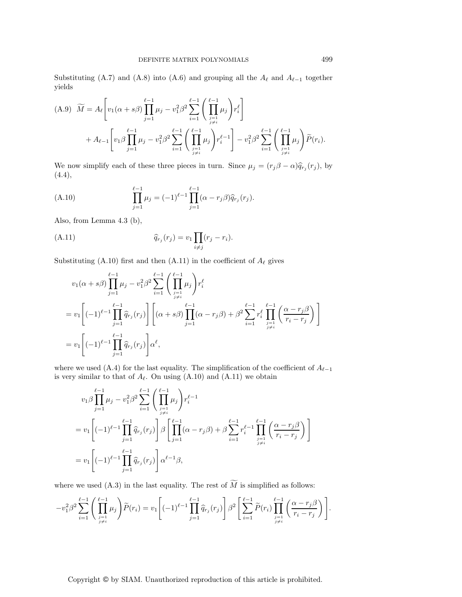Substituting (A.7) and (A.8) into (A.6) and grouping all the  $A_{\ell}$  and  $A_{\ell-1}$  together yields

(A.9) 
$$
\widetilde{M} = A_{\ell} \left[ v_1(\alpha + s\beta) \prod_{j=1}^{\ell-1} \mu_j - v_1^2 \beta^2 \sum_{i=1}^{\ell-1} \left( \prod_{\substack{j=1 \ j \neq i}}^{\ell-1} \mu_j \right) r_i^{\ell} \right]
$$
  
  $+ A_{\ell-1} \left[ v_1 \beta \prod_{j=1}^{\ell-1} \mu_j - v_1^2 \beta^2 \sum_{i=1}^{\ell-1} \left( \prod_{\substack{j=1 \ j \neq i}}^{\ell-1} \mu_j \right) r_i^{\ell-1} \right] - v_1^2 \beta^2 \sum_{i=1}^{\ell-1} \left( \prod_{\substack{j=1 \ j \neq i}}^{\ell-1} \mu_j \right) \widetilde{P}(r_i).$ 

We now simplify each of these three pieces in turn. Since  $\mu_j = (r_j \beta - \alpha) \hat{q}_{r_j}(r_j)$ , by (4.4),

(A.10) 
$$
\prod_{j=1}^{\ell-1} \mu_j = (-1)^{\ell-1} \prod_{j=1}^{\ell-1} (\alpha - r_j \beta) \widehat{q}_{r_j}(r_j).
$$

Also, from Lemma 4.3 (b),

(A.11) 
$$
\widehat{q}_{r_j}(r_j) = v_1 \prod_{i \neq j} (r_j - r_i).
$$

Substituting (A.10) first and then (A.11) in the coefficient of  $A_{\ell}$  gives

$$
v_1(\alpha + s\beta) \prod_{j=1}^{\ell-1} \mu_j - v_1^2 \beta^2 \sum_{i=1}^{\ell-1} \left( \prod_{\substack{j=1 \ j \neq i}}^{\ell-1} \mu_j \right) r_i^{\ell}
$$
  
= 
$$
v_1 \left[ (-1)^{\ell-1} \prod_{j=1}^{\ell-1} \widehat{q}_{r_j}(r_j) \right] \left[ (\alpha + s\beta) \prod_{j=1}^{\ell-1} (\alpha - r_j\beta) + \beta^2 \sum_{i=1}^{\ell-1} r_i^{\ell} \prod_{\substack{j=1 \ j \neq i}}^{\ell-1} \left( \frac{\alpha - r_j\beta}{r_i - r_j} \right) \right]
$$
  
= 
$$
v_1 \left[ (-1)^{\ell-1} \prod_{j=1}^{\ell-1} \widehat{q}_{r_j}(r_j) \right] \alpha^{\ell},
$$

where we used (A.4) for the last equality. The simplification of the coefficient of  $A_{\ell-1}$ is very similar to that of  $A_{\ell}$ . On using  $(A.10)$  and  $(A.11)$  we obtain

$$
v_1 \beta \prod_{j=1}^{\ell-1} \mu_j - v_1^2 \beta^2 \sum_{i=1}^{\ell-1} \left( \prod_{\substack{j=1 \ j \neq i}}^{\ell-1} \mu_j \right) r_i^{\ell-1}
$$
  
= 
$$
v_1 \left[ (-1)^{\ell-1} \prod_{j=1}^{\ell-1} \widehat{q}_{r_j}(r_j) \right] \beta \left[ \prod_{j=1}^{\ell-1} (\alpha - r_j \beta) + \beta \sum_{i=1}^{\ell-1} r_i^{\ell-1} \prod_{\substack{j=1 \ j \neq i}}^{\ell-1} \left( \frac{\alpha - r_j \beta}{r_i - r_j} \right) \right]
$$
  
= 
$$
v_1 \left[ (-1)^{\ell-1} \prod_{j=1}^{\ell-1} \widehat{q}_{r_j}(r_j) \right] \alpha^{\ell-1} \beta,
$$

where we used  $(A.3)$  in the last equality. The rest of  $M$  is simplified as follows:

$$
-v_1^2 \beta^2 \sum_{i=1}^{\ell-1} \left( \prod_{\substack{j=1 \ j \neq i}}^{\ell-1} \mu_j \right) \widetilde{P}(r_i) = v_1 \left[ (-1)^{\ell-1} \prod_{j=1}^{\ell-1} \widehat{q}_{r_j}(r_j) \right] \beta^2 \left[ \sum_{i=1}^{\ell-1} \widetilde{P}(r_i) \prod_{\substack{j=1 \ j \neq i}}^{\ell-1} \left( \frac{\alpha - r_j \beta}{r_i - r_j} \right) \right].
$$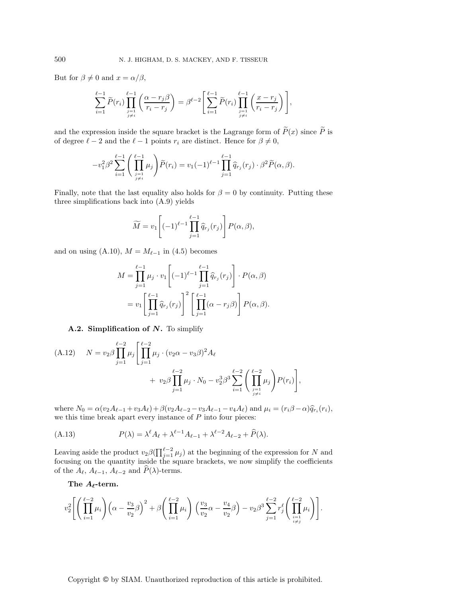But for  $\beta \neq 0$  and  $x = \alpha/\beta$ ,

$$
\sum_{i=1}^{\ell-1} \widetilde{P}(r_i) \prod_{\substack{j=1 \ j \neq i}}^{\ell-1} \left( \frac{\alpha - r_j \beta}{r_i - r_j} \right) = \beta^{\ell-2} \left[ \sum_{i=1}^{\ell-1} \widetilde{P}(r_i) \prod_{\substack{j=1 \ j \neq i}}^{\ell-1} \left( \frac{x - r_j}{r_i - r_j} \right) \right],
$$

and the expression inside the square bracket is the Lagrange form of  $\widetilde{P}(x)$  since  $\widetilde{P}$  is of degree  $\ell - 2$  and the  $\ell - 1$  points  $r_i$  are distinct. Hence for  $\beta \neq 0$ ,

$$
-v_1^2\beta^2\sum_{i=1}^{\ell-1}\left(\prod_{\substack{j=1\\j\neq i}}^{\ell-1}\mu_j\right)\widetilde{P}(r_i)=v_1(-1)^{\ell-1}\prod_{j=1}^{\ell-1}\widehat{q}_{r_j}(r_j)\cdot\beta^2\widetilde{P}(\alpha,\beta).
$$

Finally, note that the last equality also holds for  $\beta = 0$  by continuity. Putting these three simplifications back into (A.9) yields

$$
\widetilde{M} = v_1 \left[ (-1)^{\ell - 1} \prod_{j=1}^{\ell - 1} \widehat{q}_{r_j}(r_j) \right] P(\alpha, \beta),
$$

and on using (A.10),  $M = M_{\ell-1}$  in (4.5) becomes

$$
M = \prod_{j=1}^{\ell-1} \mu_j \cdot v_1 \left[ (-1)^{\ell-1} \prod_{j=1}^{\ell-1} \widehat{q}_{r_j}(r_j) \right] \cdot P(\alpha, \beta)
$$
  
= 
$$
v_1 \left[ \prod_{j=1}^{\ell-1} \widehat{q}_{r_j}(r_j) \right]^2 \left[ \prod_{j=1}^{\ell-1} (\alpha - r_j \beta) \right] P(\alpha, \beta).
$$

**A.2. Simplification of** *N***.** To simplify

(A.12) 
$$
N = v_2 \beta \prod_{j=1}^{\ell-2} \mu_j \left[ \prod_{j=1}^{\ell-2} \mu_j \cdot (v_2 \alpha - v_3 \beta)^2 A_\ell + v_2 \beta \prod_{j=1}^{\ell-2} \mu_j \cdot N_0 - v_2^3 \beta^3 \sum_{i=1}^{\ell-2} \left( \prod_{\substack{j=1 \ j \neq i}}^{\ell-2} \mu_j \right) P(r_i) \right],
$$

where  $N_0 = \alpha (v_2 A_{\ell-1} + v_3 A_{\ell}) + \beta (v_2 A_{\ell-2} - v_3 A_{\ell-1} - v_4 A_{\ell})$  and  $\mu_i = (r_i \beta - \alpha) \hat{q}_{r_i}(r_i)$ , we this time break apart every instance of  $P$  into four pieces:

(A.13) 
$$
P(\lambda) = \lambda^{\ell} A_{\ell} + \lambda^{\ell-1} A_{\ell-1} + \lambda^{\ell-2} A_{\ell-2} + \widehat{P}(\lambda).
$$

Leaving aside the product  $v_2\beta(\prod_{j=1}^{\ell-2}\mu_j)$  at the beginning of the expression for N and focusing on the quantity inside the square brackets, we now simplify the coefficients of the  $A_{\ell}$ ,  $A_{\ell-1}$ ,  $A_{\ell-2}$  and  $P(\lambda)$ -terms.

**The** *A-***-term.**

$$
v_2^2 \left[ \left( \prod_{i=1}^{\ell-2} \mu_i \right) \left( \alpha - \frac{v_3}{v_2} \beta \right)^2 + \beta \left( \prod_{i=1}^{\ell-2} \mu_i \right) \left( \frac{v_3}{v_2} \alpha - \frac{v_4}{v_2} \beta \right) - v_2 \beta^3 \sum_{j=1}^{\ell-2} r_j^{\ell} \left( \prod_{\substack{i=1 \ i \neq j}}^{\ell-2} \mu_i \right) \right].
$$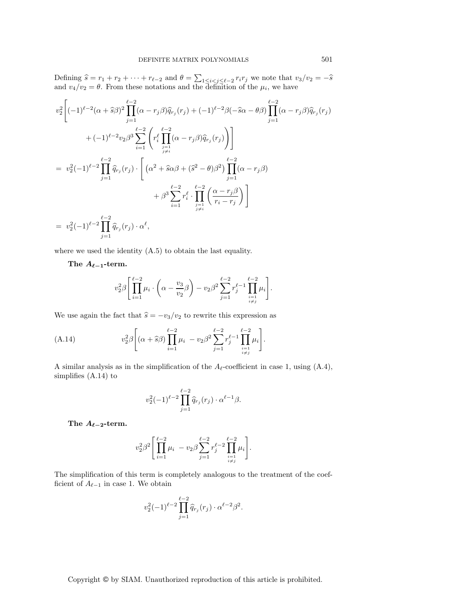Defining  $\hat{s} = r_1 + r_2 + \cdots + r_{\ell-2}$  and  $\theta = \sum_{1 \leq i < j \leq \ell-2} r_i r_j$  we note that  $v_3/v_2 = -\hat{s}$  and  $v_4/v_2 = \theta$ . From these notations and the definition of the  $\mu_i$ , we have

$$
v_{2}^{2}\left[(-1)^{\ell-2}(\alpha+\hat{s}\beta)^{2}\prod_{j=1}^{\ell-2}(\alpha-r_{j}\beta)\hat{q}_{r_{j}}(r_{j})+(-1)^{\ell-2}\beta(-\hat{s}\alpha-\theta\beta)\prod_{j=1}^{\ell-2}(\alpha-r_{j}\beta)\hat{q}_{r_{j}}(r_{j})\right] +(-1)^{\ell-2}v_{2}\beta^{3}\sum_{i=1}^{\ell-2}\left(r_{i}^{\ell}\prod_{j=1}^{\ell-2}(\alpha-r_{j}\beta)\hat{q}_{r_{j}}(r_{j})\right) =v_{2}^{2}(-1)^{\ell-2}\prod_{j=1}^{\ell-2}\hat{q}_{r_{j}}(r_{j})\cdot\left[(\alpha^{2}+\hat{s}\alpha\beta+(\hat{s}^{2}-\theta)\beta^{2})\prod_{j=1}^{\ell-2}(\alpha-r_{j}\beta)\right] + \beta^{3}\sum_{i=1}^{\ell-2}r_{i}^{\ell}\cdot\prod_{j=1}^{\ell-2}\left(\frac{\alpha-r_{j}\beta}{r_{i}-r_{j}}\right)\right] =v_{2}^{2}(-1)^{\ell-2}\prod_{j=1}^{\ell-2}\hat{q}_{r_{j}}(r_{j})\cdot\alpha^{\ell},
$$

where we used the identity  $(A.5)$  to obtain the last equality.

The  $A_{\ell-1}$ -term.

$$
v_2^2 \beta \left[ \prod_{i=1}^{\ell-2} \mu_i \cdot \left( \alpha - \frac{v_3}{v_2} \beta \right) - v_2 \beta^2 \sum_{j=1}^{\ell-2} r_j^{\ell-1} \prod_{\substack{i=1 \\ i \neq j}}^{\ell-2} \mu_i \right].
$$

We use again the fact that  $\hat{s} = -v_3/v_2$  to rewrite this expression as

(A.14) 
$$
v_2^2 \beta \left[ (\alpha + \widehat{s}\beta) \prod_{i=1}^{\ell-2} \mu_i - v_2 \beta^2 \sum_{j=1}^{\ell-2} r_j^{\ell-1} \prod_{\substack{i=1 \\ i \neq j}}^{\ell-2} \mu_i \right].
$$

A similar analysis as in the simplification of the  $A_{\ell}$ -coefficient in case 1, using  $(A.4)$ , simplifies (A.14) to

$$
v_2^2(-1)^{\ell-2} \prod_{j=1}^{\ell-2} \widehat{q}_{r_j}(r_j) \cdot \alpha^{\ell-1} \beta.
$$

The  $A_{\ell-2}$ -term.

$$
v_2^2\beta^2\Bigg[\prod_{i=1}^{\ell-2}\mu_i\ -v_2\beta\sum_{j=1}^{\ell-2}r_j^{\ell-2}\prod_{\stackrel{i=1}{i\neq j}}^{\ell-2}\mu_i\Bigg].
$$

The simplification of this term is completely analogous to the treatment of the coefficient of  $A_{\ell-1}$  in case 1. We obtain

$$
v_2^2(-1)^{\ell-2}\prod_{j=1}^{\ell-2}\widehat{q}_{r_j}(r_j)\cdot\alpha^{\ell-2}\beta^2.
$$